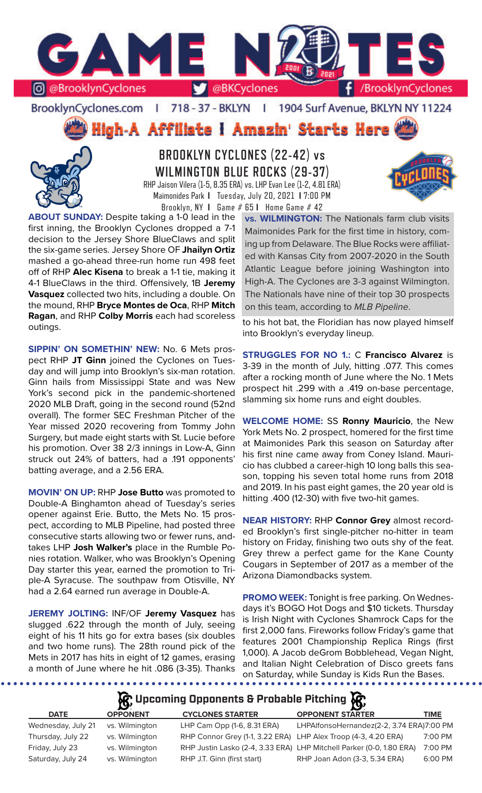

BrooklynCyclones.com | 718 - 37 - BKLYN - 11 1904 Surf Avenue, BKLYN NY 11224

High-A Affiliate i Amazin' Starts Here



**BROOKLYN CYCLONES (22-42) vs WILMINGTON BLUE ROCKS (29-37)** RHP Jaison Vilera (1-5, 8.35 ERA) vs. LHP Evan Lee (1-2, 4.81 ERA) Maimonides Park **I** Tuesday, July 20, 2021 **I** 7:00 PM Brooklyn, NY **I** Game # 65 **I** Home Game # 42

**ABOUT SUNDAY:** Despite taking a 1-0 lead in the first inning, the Brooklyn Cyclones dropped a 7-1 decision to the Jersey Shore BlueClaws and split the six-game series. Jersey Shore OF **Jhailyn Ortiz**  mashed a go-ahead three-run home run 498 feet off of RHP **Alec Kisena** to break a 1-1 tie, making it 4-1 BlueClaws in the third. Offensively, 1B **Jeremy Vasquez** collected two hits, including a double. On the mound, RHP **Bryce Montes de Oca**, RHP **Mitch Ragan**, and RHP **Colby Morris** each had scoreless outings.

**SIPPIN' ON SOMETHIN' NEW:** No. 6 Mets prospect RHP **JT Ginn** joined the Cyclones on Tuesday and will jump into Brooklyn's six-man rotation. Ginn hails from Mississippi State and was New York's second pick in the pandemic-shortened 2020 MLB Draft, going in the second round (52nd overall). The former SEC Freshman Pitcher of the Year missed 2020 recovering from Tommy John Surgery, but made eight starts with St. Lucie before his promotion. Over 38 2/3 innings in Low-A, Ginn struck out 24% of batters, had a .191 opponents' batting average, and a 2.56 ERA.

**MOVIN' ON UP:** RHP **Jose Butto** was promoted to Double-A Binghamton ahead of Tuesday's series opener against Erie. Butto, the Mets No. 15 prospect, according to MLB Pipeline, had posted three consecutive starts allowing two or fewer runs, andtakes LHP **Josh Walker's** place in the Rumble Ponies rotation. Walker, who was Brooklyn's Opening Day starter this year, earned the promotion to Triple-A Syracuse. The southpaw from Otisville, NY had a 2.64 earned run average in Double-A.

**JEREMY JOLTING:** INF/OF **Jeremy Vasquez** has slugged .622 through the month of July, seeing eight of his 11 hits go for extra bases (six doubles and two home runs). The 28th round pick of the Mets in 2017 has hits in eight of 12 games, erasing a month of June where he hit .086 (3-35). Thanks

**vs. WILMINGTON:** The Nationals farm club visits Maimonides Park for the first time in history, coming up from Delaware. The Blue Rocks were affiliated with Kansas City from 2007-2020 in the South Atlantic League before joining Washington into High-A. The Cyclones are 3-3 against Wilmington. The Nationals have nine of their top 30 prospects on this team, according to *MLB Pipeline*.

to his hot bat, the Floridian has now played himself into Brooklyn's everyday lineup.

**STRUGGLES FOR NO 1.:** C **Francisco Alvarez** is 3-39 in the month of July, hitting .077. This comes after a rocking month of June where the No. 1 Mets prospect hit .299 with a .419 on-base percentage, slamming six home runs and eight doubles.

**WELCOME HOME:** SS **Ronny Mauricio**, the New York Mets No. 2 prospect, homered for the first time at Maimonides Park this season on Saturday after his first nine came away from Coney Island. Mauricio has clubbed a career-high 10 long balls this season, topping his seven total home runs from 2018 and 2019. In his past eight games, the 20 year old is hitting .400 (12-30) with five two-hit games.

**NEAR HISTORY:** RHP **Connor Grey** almost recorded Brooklyn's first single-pitcher no-hitter in team history on Friday, finishing two outs shy of the feat. Grey threw a perfect game for the Kane County Cougars in September of 2017 as a member of the Arizona Diamondbacks system.

**PROMO WEEK:** Tonight is free parking. On Wednesdays it's BOGO Hot Dogs and \$10 tickets. Thursday is Irish Night with Cyclones Shamrock Caps for the first 2,000 fans. Fireworks follow Friday's game that features 2001 Championship Replica Rings (first 1,000). A Jacob deGrom Bobblehead, Vegan Night, and Italian Night Celebration of Disco greets fans on Saturday, while Sunday is Kids Run the Bases.

# **Upcoming Opponents & Probable Pitching**

| <b>DATE</b>        | <b>OPPONENT</b> | <b>CYCLONES STARTER</b>                                        | <b>OPPONENT STARTER</b>                                              | TIME    |
|--------------------|-----------------|----------------------------------------------------------------|----------------------------------------------------------------------|---------|
| Wednesday, July 21 | vs. Wilmington  | LHP Cam Opp (1-6, 8.31 ERA)                                    | LHPAIfonsoHernandez(2-2, 3.74 ERA)7:00 PM                            |         |
| Thursday, July 22  | vs. Wilmington  | RHP Connor Grey (1-1, 3.22 ERA) LHP Alex Troop (4-3, 4.20 ERA) |                                                                      | 7:00 PM |
| Friday, July 23    | vs. Wilmington  |                                                                | RHP Justin Lasko (2-4, 3.33 ERA) LHP Mitchell Parker (0-0, 1.80 ERA) | 7:00 PM |
| Saturday, July 24  | vs. Wilmington  | RHP J.T. Ginn (first start)                                    | RHP Joan Adon (3-3, 5.34 ERA)                                        | 6:00 PM |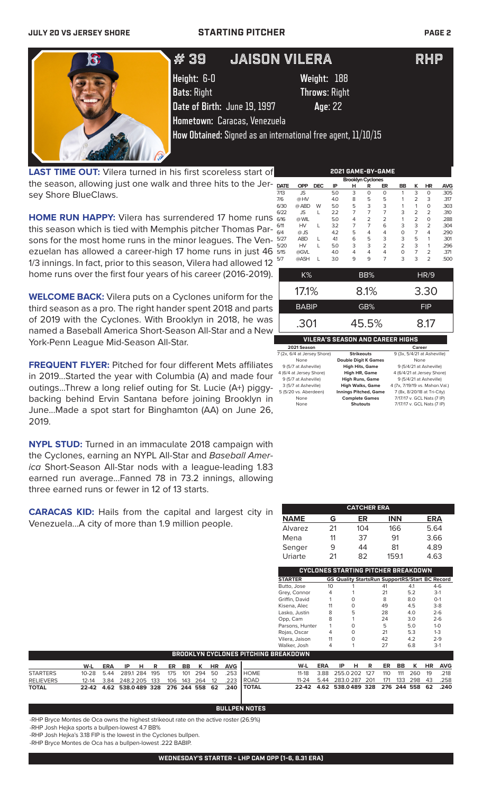

**LAST TIME OUT:** Vilera turned in his first scoreless start of the season, allowing just one walk and three hits to the Jersey Shore BlueClaws.

**HOME RUN HAPPY:** Vilera has surrendered 17 home runs this season which is tied with Memphis pitcher Thomas Parsons for the most home runs in the minor leagues. The Venezuelan has allowed a career-high 17 home runs in just 46 1/3 innings. In fact, prior to this season, Vilera had allowed 12 home runs over the first four years of his career (2016-2019).

**WELCOME BACK:** Vilera puts on a Cyclones uniform for the third season as a pro. The right hander spent 2018 and parts of 2019 with the Cyclones. With Brooklyn in 2018, he was named a Baseball America Short-Season All-Star and a New York-Penn League Mid-Season All-Star.

**FREQUENT FLYER:** Pitched for four different Mets affiliates in 2019...Started the year with Columbia (A) and made four outings...Threw a long relief outing for St. Lucie (A+) piggybacking behind Ervin Santana before joining Brooklyn in June...Made a spot start for Binghamton (AA) on June 26, 2019.

**NYPL STUD:** Turned in an immaculate 2018 campaign with the Cyclones, earning an NYPL All-Star and *Baseball America* Short-Season All-Star nods with a league-leading 1.83 earned run average...Fanned 78 in 73.2 innings, allowing three earned runs or fewer in 12 of 13 starts.

**CARACAS KID:** Hails from the capital and largest city in Venezuela...A city of more than 1.9 million people.

|             | <b>Brooklyn Cyclones</b> |            |     |   |                |                |                |                |                |            |
|-------------|--------------------------|------------|-----|---|----------------|----------------|----------------|----------------|----------------|------------|
| <b>DATE</b> | <b>OPP</b>               | <b>DEC</b> | ΙP  | н | R              | ER             | BB             | ĸ              | <b>HR</b>      | <b>AVG</b> |
| 7/13        | <b>JS</b>                |            | 5.0 | 3 | 0              | $\Omega$       | 1              | 3              | 0              | .305       |
| 7/6         | @HV                      |            | 4.0 | 8 | 5              | 5              | 1              | 2              | 3              | .317       |
| 6/30        | @ ABD                    | W          | 5.0 | 5 | 3              | 3              | 1              | 1              | $\mathbf 0$    | .303       |
| 6/22        | <b>JS</b>                | L          | 2.2 | 7 | 7              | 7              | 3              | 2              | $\overline{2}$ | .310       |
| 6/16        | @ WIL                    |            | 5.0 | 4 | $\overline{2}$ | $\overline{2}$ | 1              | $\overline{2}$ | 0              | .288       |
| 6/11        | HV                       | L          | 3.2 | 7 | 7              | 6              | 3              | 3              | $\overline{2}$ | .304       |
| 6/4         | $@$ JS                   |            | 4.2 | 5 | 4              | 4              | $\Omega$       | 7              | 4              | .290       |
| 5/27        | <b>ABD</b>               | L          | 4.1 | 6 | 5              | 3              | 3              | 5              | 1              | .301       |
| 5/20        | HV                       | L          | 5.0 | 3 | 3              | $\overline{2}$ | $\overline{2}$ | 3              | 1              | .296       |
| 5/15        | @GVL                     |            | 4.0 | 4 | 4              | 4              | $\mathbf 0$    | 7              | $\overline{2}$ | .371       |
| 5/7         | @ASH                     | L          | 3.0 | 9 | 9              | 7              | 3              | 3              | $\overline{2}$ | .500       |
|             | K%                       |            |     |   | BB%            |                |                |                | HR/9           |            |

**2021 GAME-BY-GAME**

| $17.1\%$                                | 8.1%  | 3.30       |  |  |  |
|-----------------------------------------|-------|------------|--|--|--|
| <b>BABIP</b>                            | GB%   | <b>FIP</b> |  |  |  |
| .301                                    | 45.5% | 8.17       |  |  |  |
| <b>VILERA'S SEASON AND CAREER HIGHS</b> |       |            |  |  |  |

| 2021 Season                 |                              | Career                         |
|-----------------------------|------------------------------|--------------------------------|
| 7 (2x, 6/4 at Jersey Shore) | <b>Strikeouts</b>            | 9 (3x, 5/4/21 at Asheville)    |
| None                        | <b>Double Digit K Games</b>  | None                           |
| 9 (5/7 at Asheville)        | <b>High Hits, Game</b>       | 9 (5/4/21 at Asheville)        |
| 4 (6/4 at Jersey Shore)     | <b>High HR, Game</b>         | 4 (6/4/21 at Jersey Shore)     |
| 9 (5/7 at Asheville)        | <b>High Runs, Game</b>       | 9 (5/4/21 at Asheville)        |
| 3 (5/7 at Asheville)        | <b>High Walks, Game</b>      | 4 (7x, 7/19/19 vs. Mahon.Val.) |
| 5 (5/20 vs. Aberdeen)       | <b>Innings Pitched, Game</b> | 7 (8x, 8/20/18 at Tri-City)    |
| None                        | <b>Complete Games</b>        | 7/17/17 v. GCL Nats (7 IP)     |
| None                        | <b>Shutouts</b>              | 7/17/17 v. GCL Nats (7 IP)     |

|             |    | <b>CATCHER ERA</b> |            |            |
|-------------|----|--------------------|------------|------------|
| <b>NAME</b> | G  | ER                 | <b>INN</b> | <b>ERA</b> |
| Alvarez     | 21 | 104                | 166        | 5.64       |
| Mena        | 11 | 37                 | 91         | 3.66       |
| Senger      | 9  | 44                 | 81         | 4.89       |
| Uriarte     | 21 | 82                 | 159.1      | 4.63       |

|                   |    |   | CYCLONES STARTING PITCHER BREAKDOWN                   |     |         |
|-------------------|----|---|-------------------------------------------------------|-----|---------|
| <b>STARTER</b>    |    |   | <b>GS Quality StartsRun SupportRS/Start BC Record</b> |     |         |
| Butto, Jose       | 10 |   | 41                                                    | 4.1 | $4-6$   |
| Grey, Connor      | 4  |   | 21                                                    | 5.2 | $3-1$   |
| Griffin, David    |    | O | 8                                                     | 8.0 | $O-1$   |
| Kisena, Alec      | 11 | O | 49                                                    | 4.5 | $3-8$   |
| Lasko, Justin     | 8  | 5 | 28                                                    | 4.0 | $2 - 6$ |
| Opp, Cam          | 8  | 1 | 24                                                    | 3.0 | $2 - 6$ |
| Parsons, Hunter   |    | O | 5                                                     | 5.0 | $1 - 0$ |
| Rojas, Oscar      |    | ი | 21                                                    | 5.3 | $1 - 3$ |
| Vilera, Jaison    | 11 | ი | 42                                                    | 4.2 | $2 - 9$ |
| Walker, Josh      |    |   | 27                                                    | 6.8 | $3-1$   |
| 8 F A K R A VAI N |    |   |                                                       |     |         |

|                  | <b>BROOKLYN CYCLONES PITCHING BREAKDOWN</b> |  |  |  |  |  |  |  |  |                             |                                                   |                                              |  |  |  |  |                           |
|------------------|---------------------------------------------|--|--|--|--|--|--|--|--|-----------------------------|---------------------------------------------------|----------------------------------------------|--|--|--|--|---------------------------|
|                  | W-L                                         |  |  |  |  |  |  |  |  | ERA IP H R ER BB K HR AVG I |                                                   | W-L                                          |  |  |  |  | ERA IP H R ER BB K HR AVG |
| <b>STARTERS</b>  |                                             |  |  |  |  |  |  |  |  |                             | 10-28 5.44 289.1 284 195 175 101 294 50 .253 HOME | 11-18 3.88 255.0 202 127 110 111 260 19 .218 |  |  |  |  |                           |
| <b>RELIEVERS</b> |                                             |  |  |  |  |  |  |  |  |                             | 12-14 3.84 248.2 205 133 106 143 264 12 .223 ROAD | 11-24 5.44 283.0 287 201 171 133 298 43 .258 |  |  |  |  |                           |
| <b>TOTAL</b>     |                                             |  |  |  |  |  |  |  |  |                             | 22-42 4.62 538.0489 328 276 244 558 62 .240 TOTAL | 22-42 4.62 538.0489 328 276 244 558 62 .240  |  |  |  |  |                           |

### **BULLPEN NOTES**

-RHP Bryce Montes de Oca owns the highest strikeout rate on the active roster (26.9%)

-RHP Josh Hejka sports a bullpen-lowest 4.7 BB%

-RHP Josh Hejka's 3.18 FIP is the lowest in the Cyclones bullpen.

-RHP Bryce Montes de Oca has a bullpen-lowest .222 BABIP.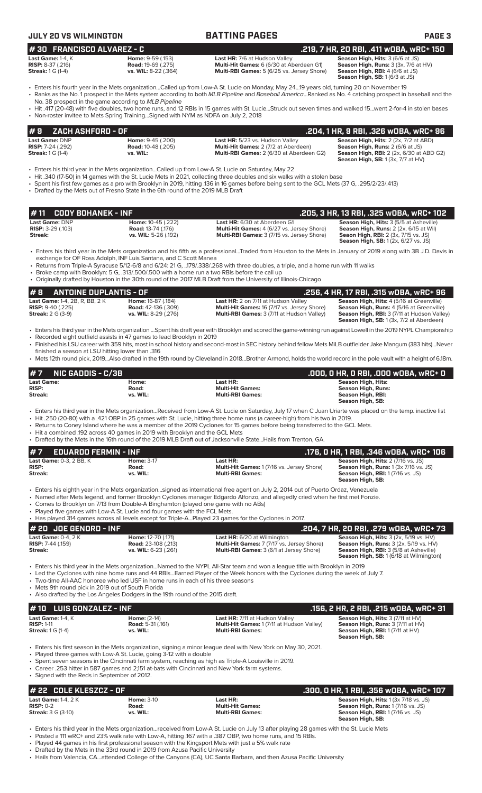| 1# 30   FRANCISCO ALVAREZ - C                                                    |                                                                        |                                                                                                                                                                                                                                                                                                       | .219, 7 HR, 20 RBI, .411 wOBA, wRC+ 150                                                                                                              |
|----------------------------------------------------------------------------------|------------------------------------------------------------------------|-------------------------------------------------------------------------------------------------------------------------------------------------------------------------------------------------------------------------------------------------------------------------------------------------------|------------------------------------------------------------------------------------------------------------------------------------------------------|
| Last Game: $1-4$ . $K$<br><b>RISP:</b> $8-37$ (.216)<br><b>Streak:</b> 1 G (1-4) | Home: 9-59 (.153)<br><b>Road: 19-69 (.275)</b><br>vs. WIL: 8-22 (.364) | <b>Last HR: 7/6 at Hudson Valley</b><br>Multi-Hit Games: 6 (6/30 at Aberdeen G1)<br>Multi-RBI Games: 5 (6/25 vs. Jersey Shore)                                                                                                                                                                        | Season High, Hits: 3 (6/6 at JS)<br>Season High, Runs: 3 (3x, 7/6 at HV)<br><b>Season High, RBI: 4 (6/6 at JS)</b><br>Season High, SB: 1 (6/3 at JS) |
|                                                                                  | No. 38 prospect in the game according to MLB Pipeline                  | • Enters his fourth year in the Mets organizationCalled up from Low-A St. Lucie on Monday, May 2419 years old, turning 20 on November 19<br>• Ranks as the No. 1 prospect in the Mets system according to both MLB Pipeline and Baseball AmericaRanked as No. 4 catching prospect in baseball and the |                                                                                                                                                      |

• Hit .417 (20-48) with five doubles, two home runs, and 12 RBIs in 15 games with St. Lucie...Struck out seven times and walked 15...went 2-for-4 in stolen bases • Non-roster invitee to Mets Spring Training...Signed with NYM as NDFA on July 2, 2018

| #9    ZACH ASHFORD - OF :  |                           |                                                 | . 204, 1 HR, 9 RBI, .326 wOBA, wRC+ 96 .        |  |  |  |
|----------------------------|---------------------------|-------------------------------------------------|-------------------------------------------------|--|--|--|
| <b>Last Game: DNP</b>      | <b>Home: 9-45 (.200)</b>  | Last HR: 5/23 vs. Hudson Valley                 | <b>Season High, Hits: 2 (2x, 7/2 at ABD)</b>    |  |  |  |
| <b>RISP:</b> $7-24$ (.292) | <b>Road: 10-48 (.205)</b> | <b>Multi-Hit Games: 2 (7/2 at Aberdeen)</b>     | <b>Season High, Runs: 2 (6/6 at JS)</b>         |  |  |  |
| <b>Streak:</b> 1 G (1-4)   | vs. WIL:                  | <b>Multi-RBI Games: 2 (6/30 at Aberdeen G2)</b> | <b>Season High, RBI:</b> 2 (2x, 6/30 at ABD G2) |  |  |  |
|                            |                           |                                                 | <b>Season High, SB:</b> $1(3x, 7/7$ at $HV$ )   |  |  |  |

• Enters his third year in the Mets organization...Called up from Low-A St. Lucie on Saturday, May 22

- Hit .340 (17-50) in 14 games with the St. Lucie Mets in 2021, collecting three doubles and six walks with a stolen base
- Spent his first few games as a pro with Brooklyn in 2019, hitting .136 in 16 games before being sent to the GCL Mets (37 G, .295/2/23/.413)
- Drafted by the Mets out of Fresno State in the 6th round of the 2019 MLB Draft

| 1# 11    CODY BOHANEK - INF . |                           |                                                   | .205. 3 HR. 13 RBI. .325 WOBA. WRC+ 102        |
|-------------------------------|---------------------------|---------------------------------------------------|------------------------------------------------|
| <b>Last Game: DNP</b>         | <b>Home:</b> 10-45 (.222) | <b>Last HR:</b> 6/30 at Aberdeen G1               | <b>Season High, Hits: 3 (5/5 at Asheville)</b> |
| <b>RISP:</b> $3-29$ (.103)    | <b>Road: 13-74 (.176)</b> | <b>Multi-Hit Games:</b> 4 (6/27 vs. Jersey Shore) | <b>Season High, Runs:</b> 2 (2x, 6/15 at Wil)  |
| Streak:                       | vs. WIL: 5-26 (.192)      | <b>Multi-RBI Games: 3 (7/15 vs. Jersey Shore)</b> | <b>Seaon High, RBI:</b> 2 (3x, 7/15 vs. JS)    |
|                               |                           |                                                   | <b>Season High, SB:</b> 1 (2x, 6/27 vs. JS)    |

• Enters his third year in the Mets organization and his fifth as a professional...Traded from Houston to the Mets in January of 2019 along with 3B J.D. Davis in exchange for OF Ross Adolph, INF Luis Santana, and C Scott Manea

• Returns from Triple-A Syracuse 5/12-6/8 and 6/24: 21 G, ..179/.338/.268 with three doubles, a triple, and a home run with 11 walks

• Broke camp with Brooklyn: 5 G, .313/.500/.500 with a home run a two RBIs before the call up

• Originally drafted by Houston in the 30th round of the 2017 MLB Draft from the University of Illinois-Chicago

### **# 8** ANTOINE DUPLANTIS - OF<br>
Last Game: 1-4, 2B, R, BB, 2 K<br>
RISP: 9-40 (.225) Road: 42-136 (.309) Multi-Hit Games: 16 (7/17 vs. Jersey Shore) Season High, Rits: 4 (5/16 at Greenville) **Last Game:** 1-4, 2B, R, BB, 2 K **Home:** 16-87 (.184) **Last HR:** 2 on 7/11 at Hudson Valley **Season High, Hits:** 4 (5/16 at Greenville) **RISP:** 9-40 (.225) **Road:** 42-136 (.309) **Multi-Hit Games:** 16 (7/17 vs. Jersey Shore) **Season High, Runs:** 4 (5/16 at Greenville) **Streak:** 2 G (3-9) **vs. WIL:** 8-29 (.276) **Multi-RBI Games:** 3 (7/11 at Hudson Valley) **Season High, RBI:** 3 (7/11 at Hudson Valley) **Season High, SB:** 1 (3x, 7/2 at Aberdeen)

• Enters his third year in the Mets organization ...Spent his draft year with Brooklyn and scored the game-winning run against Lowell in the 2019 NYPL Championship • Recorded eight outfield assists in 47 games to lead Brooklyn in 2019 • Finished his LSU career with 359 hits, most in school history and second-most in SEC history behind fellow Mets MiLB outfielder Jake Mangum (383 hits)...Never

- 
- finished a season at LSU hitting lower than .316 • Mets 12th round pick, 2019...Also drafted in the 19th round by Cleveland in 2018...Brother Armond, holds the world record in the pole vault with a height of 6.18m.

| $#7$ NIC GADDIS - C/3B                |                            |                                                                | .000, 0 HR, 0 RBI, .000 w0BA, wRC+ 0                                                     |
|---------------------------------------|----------------------------|----------------------------------------------------------------|------------------------------------------------------------------------------------------|
| Last Game:<br><b>RISP:</b><br>Streak: | Home:<br>Road:<br>vs. WIL: | Last HR:<br><b>Multi-Hit Games:</b><br><b>Multi-RBI Games:</b> | <b>Season High, Hits:</b><br>Season High, Runs:<br>Season High, RBI:<br>Season High, SB: |
|                                       |                            |                                                                |                                                                                          |

• Enters his third year in the Mets organization...Received from Low-A St. Lucie on Saturday, July 17 when C Juan Uriarte was placed on the temp. inactive list

• Hit .250 (20-80) with a .421 OBP in 25 games with St. Lucie, hitting three home runs (a career-high) from his two in 2019.

• Returns to Coney Island where he was a member of the 2019 Cyclones for 15 games before being transferred to the GCL Mets.

• Hit a combined .192 across 40 games in 2019 with Brooklyn and the GCL Mets • Drafted by the Mets in the 16th round of the 2019 MLB Draft out of Jacksonville State...Hails from Trenton, GA.

| $#7$ EDUARDO FERMIN - INF      |                   |                                                                                                                                    | .176, 0 HR, 1 RBI, .346 w0BA, wRC+ 106       |
|--------------------------------|-------------------|------------------------------------------------------------------------------------------------------------------------------------|----------------------------------------------|
| <b>Last Game:</b> 0-3. 2 BB. K | <b>Home: 3-17</b> | Last HR:                                                                                                                           | <b>Season High, Hits: 2 (7/16 vs. JS)</b>    |
| <b>RISP:</b>                   | Road:             | Multi-Hit Games: 1 (7/16 vs. Jersey Shore)                                                                                         | <b>Season High, Runs: 1 (3x 7/16 vs. JS)</b> |
| <b>Streak:</b>                 | vs. WIL:          | <b>Multi-RBI Games:</b>                                                                                                            | <b>Season High, RBI:</b> 1 (7/16 vs. JS)     |
|                                |                   |                                                                                                                                    | Season High, SB:                             |
|                                |                   | • Enters his eighth year in the Mets organizationsigned as international free agent on July 2, 2014 out of Puerto Ordaz, Venezuela |                                              |

- Named after Mets legend, and former Brooklyn Cyclones manager Edgardo Alfonzo, and allegedly cried when he first met Fonzie.
- Comes to Brooklyn on 7/13 from Double-A Binghamton (played one game with no ABs)

Played five games with Low-A St. Lucie and four games with the FCL Mets.<br>Has played 314 games across all loyels except for Triple A. Played 23 game

| • Has played 314 games across all levels except for Triple-APlayed 23 games for the Cyclones in 2017. |                            |                                                   |                                                          |  |  |  |
|-------------------------------------------------------------------------------------------------------|----------------------------|---------------------------------------------------|----------------------------------------------------------|--|--|--|
| $#$ 20 JOE GENORD - INF                                                                               |                            |                                                   | . .204, 7 HR, 20 RBI, .279 w0BA, wRC+ 73                 |  |  |  |
| Last Game: $0-4$ . $2K$                                                                               | Home: 12-70 (.171)         | <b>Last HR:</b> 6/20 at Wilmington                | <b>Season High, Hits:</b> $3$ ( $2x$ , $5/19$ vs. $HV$ ) |  |  |  |
| <b>RISP:</b> 7-44 (.159)                                                                              | <b>Road:</b> 23-108 (.213) | <b>Multi-Hit Games: 7 (7/17 vs. Jersey Shore)</b> | <b>Season High, Runs: 3 (2x, 5/19 vs. HV)</b>            |  |  |  |
| Streak:                                                                                               | vs. WIL: 6-23 (.261)       | <b>Multi-RBI Games:</b> 3 (6/1 at Jersey Shore)   | <b>Season High, RBI: 3 (5/8 at Asheville)</b>            |  |  |  |
|                                                                                                       |                            |                                                   | <b>Season High, SB: 1 (6/18 at Wilmington)</b>           |  |  |  |

• Enters his third year in the Mets organization...Named to the NYPL All-Star team and won a league title with Brooklyn in 2019

• Led the Cyclones with nine home runs and 44 RBIs...Earned Player of the Week honors with the Cyclones during the week of July 7.

Two-time All-AAC honoree who led USF in home runs in each of his three seasons

Mets 9th round pick in 2019 out of South Florida

Also drafted by the Los Angeles Dodgers in the 19th round of the 2015 draft.

| # 10 LUIS GONZALEZ - INF |                          |                                                   | , .156, 2 HR, 2 RBI, .215 wOBA, wRC+ 31' |
|--------------------------|--------------------------|---------------------------------------------------|------------------------------------------|
| <b>Last Game:</b> 1-4, K | <b>Home:</b> $(2-14)$    | <b>Last HR: 7/11 at Hudson Valley</b>             | <b>Season High, Hits: 3 (7/11 at HV)</b> |
| <b>RISP: 1-11</b>        | <b>Road: 5-31 (.161)</b> | <b>Multi-Hit Games: 1 (7/11 at Hudson Valley)</b> | <b>Season High, Runs: 3 (7/11 at HV)</b> |
| <b>Streak:</b> 1 G (1-4) | vs. WIL:                 | <b>Multi-RBI Games:</b>                           | <b>Season High, RBI:</b> 1 (7/11 at HV)  |
|                          |                          |                                                   | Season High, SB:                         |

• Enters his first season in the Mets organization, signing a minor league deal with New York on May 30, 2021.

• Played three games with Low-A St. Lucie, going 3-12 with a double

• Spent seven seasons in the Cincinnati farm system, reaching as high as Triple-A Louisville in 2019.

• Career .253 hitter in 587 games and 2,151 at-bats with Cincinnati and New York farm systems. • Signed with the Reds in September of 2012.

| l# 22   COLE KLESZCZ - OF  |                   |                         | .300. 0 HR. 1 RBI. .356 wOBA. wRC+ 107       |
|----------------------------|-------------------|-------------------------|----------------------------------------------|
| <b>Last Game:</b> 1-4, 2 K | <b>Home: 3-10</b> | Last HR:                | <b>Season High, Hits: 1 (3x 7/18 vs. JS)</b> |
| $RISP: 0-2$                | Road:             | <b>Multi-Hit Games:</b> | <b>Season High, Runs: 1 (7/16 vs. JS)</b>    |
| <b>Streak:</b> 3 G (3-10)  | vs. WIL:          | <b>Multi-RBI Games:</b> | <b>Season High, RBI:</b> 1 (7/16 vs. JS)     |
|                            |                   |                         | Season High, SB:                             |

• Enters his third year in the Mets organization...received from Low-A St. Lucie on July 13 after playing 28 games with the St. Lucie Mets

• Posted a 111 wRC+ and 23% walk rate with Low-A, hitting .167 with a .387 OBP, two home runs, and 15 RBIs.

• Played 44 games in his first professional season with the Kingsport Mets with just a 5% walk rate

• Drafted by the Mets in the 33rd round in 2019 from Azusa Pacific University

• Hails from Valencia, CA...attended College of the Canyons (CA), UC Santa Barbara, and then Azusa Pacific University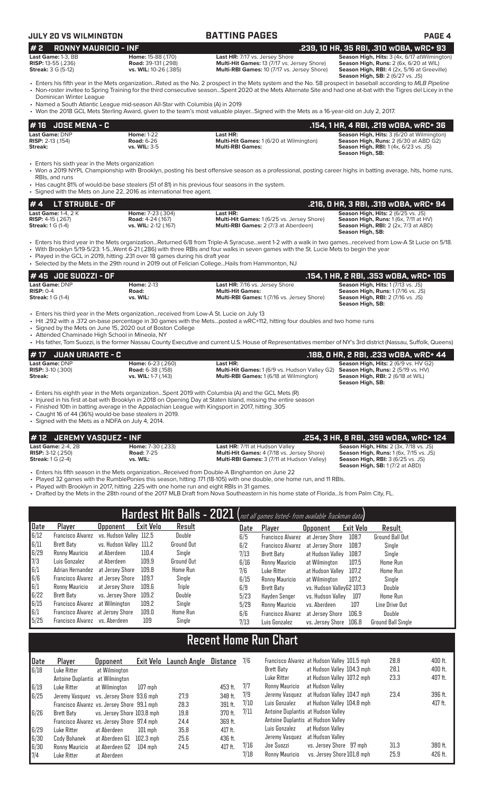# **JULY 20 VS WILMINGTON BATTING PAGES PAGE 4**

### **# 4 LT STRUBLE - OF .216, 0 HR, 3 RBI, .319 wOBA, wRC+ 94 Last HR: Cames:** 1 (6/25 vs. Jersey Shore) **Season High, Hits:** 2 (6/25 vs. JS) **Multi-Hit Games:** 1 (6/25 vs. Jersey Shore) **Season High, Runs:** 1 (6x, 7/11 at HV) **RISP:**  $4-15$  (.267) **Road:**  $4-24$  (.167) **Multi-Hit Games:** 1 (6/25 vs. Jersey Shore) **Streak:** 1 G (1-4) **Streak: 1** G (1-4) **Streak: 1** (5/25 vs. **WIL:** 2-12 (.167) **Multi-RBI Games:** 2 (7/3 at Aberdeen) **Season High, RBI:** 2 (2x, 7/3 at ABD) **Season High, SB:**  • Enters his third year in the Mets organization...Returned 6/8 from Triple-A Syracuse...went 1-2 with a walk in two games...received from Low-A St Lucie on 5/18. • With Brooklyn 5/19-5/23: 1-5...Went 6-21 (.286) with three RBIs and four walks in seven games with the St. Lucie Mets to begin the year Played in the GCL in 2019, hitting .231 over 18 games during his draft year • Selected by the Mets in the 29th round in 2019 out of Felician College...Hails from Hammonton, NJ **# 16 JOSE MENA - C**<br> **26 Last Game: DNP**<br> **26 Last HR:** Cast HR: Cast All Cast All Cast All Cast All Cast All Cast All Cast All Cast Game: DNP<br>
RISP: 2-13 (.154) RISP: 2-13 (.154) ROBB C2) **Last Game:** DNP **Home:** 1-22 **Last HR: Season High, Hits:** 3 (6/20 at Wilmington) **RISP:** 2-13 (.154) **Road:** 6-26 **Multi-Hit Games:** 1 (6/20 at Wilmington) **Season High, Runs:** 2 (6/30 at ABD G2) **Streak: vs. WIL:** 3-5 **Multi-RBI Games: Season High, RBI:** 1 (4x, 6/23 vs. JS) **Season High, SB:**  Enters his sixth year in the Mets organization • Won a 2019 NYPL Championship with Brooklyn, posting his best offensive season as a professional, posting career highs in batting average, hits, home runs, RBIs, and runs • Has caught 81% of would-be base stealers (51 of 81) in his previous four seasons in the system. • Signed with the Mets on June 22, 2016 as international free agent. **# 45 JOE SUOZZI - OF .154, 1 HR, 2 RBI, .353 wOBA, wRC+ 105 Last Game:** DNP **Home:** 2-13 **Last HR:** 7/16 vs. Jersey Shore **Season High, Hits:** 1 (7/13 vs. JS) **RISP:** 0-4 **Road: Multi-Hit Games: Season High, Runs:** 1 (7/16 vs. JS) **Streak: 1 G (1-4) <b>vs. WIL: vs. WIL: Multi-RBI Games: 1** (7/16 vs. Jersey Shore) **Season High, RBI:** 2 (7/16 vs. JS)<br>**Season High, RBI:** 2 (7/16 vs. JS)<br>**Season High, SB:** • Enters his third year in the Mets organization...received from Low-A St. Lucie on July 13 • Hit .292 with a .372 on-base percentage in 30 games with the Mets...posted a wRC+112, hitting four doubles and two home runs Signed by the Mets on June 15, 2020 out of Boston College **# 2 RONNY MAURICIO - INF .239, 10 HR, 35 RBI, .310 wOBA, wRC+ 93 Last Game:** 1-3, BB **Home:** 15-88 (.170) **Last HR:** 7/17 vs. Jersey Shore **Season High, Hits:** 3 (4x, 6/17 atWilmington) **RISP: 13, BB**<br> **RISP: 13-55 (.236) Road: 39-131 (.298) Riserved Multi-Hit Games: 13 (7/17 vs. Jersey Shore)<br>
<b>Streak: 3** G (5-12) **Road: 39-131 (.298) Multi-RBI Games: 13 (7/17 vs. Jersey Shore) Multi-RBI Games:** 10 (7/17 vs. Jersey Shore) Season High, RBI: 4 (2x, 5/16 at Greeville)<br>Season High, SB: 2 (6/27 vs. JS) • Enters his fifth year in the Mets organization...Rated as the No. 2 prospect in the Mets system and the No. 58 prospect in baseball according to *MLB Pipeline* • Non-roster invitee to Spring Training for the third consecutive season...Spent 2020 at the Mets Alternate Site and had one at-bat with the Tigres del Licey in the Dominican Winter League • Named a South Atlantic League mid-season All-Star with Columbia (A) in 2019 • Won the 2018 GCL Mets Sterling Award, given to the team's most valuable player...Signed with the Mets as a 16-year-old on July 2, 2017.

• Attended Chaminade High School in Mineola, NY

• His father, Tom Suozzi, is the former Nassau County Executive and current U.S. House of Representatives member of NY's 3rd district (Nassau, Suffolk, Queens)

| # 17 JUAN URIARTE - C      |                            |                                                                                                | .188, 0 HR, 2 RBI, .233 w0BA, wRC+ 44                        |
|----------------------------|----------------------------|------------------------------------------------------------------------------------------------|--------------------------------------------------------------|
| <b>Last Game: DNP</b>      | <b>Home: 6-23 (.260)</b>   | Last HR:                                                                                       | <b>Season High, Hits: 2 (6/9 vs. HV G2)</b>                  |
| <b>RISP:</b> $3-10$ (.300) | <b>Road:</b> 6-38 (.158)   | <b>Multi-Hit Games:</b> 1 (6/9 vs. Hudson Valley G2) <b>Season High, Runs:</b> 2 (5/19 vs. HV) |                                                              |
| Streak:                    | <b>vs. WIL:</b> 1-7 (.143) | <b>Multi-RBI Games: 1 (6/18 at Wilmington)</b>                                                 | <b>Season High, RBI:</b> 2 (6/18 at WIL)<br>Season High, SB: |

• Enters his eighth year in the Mets organization...Spent 2019 with Columbia (A) and the GCL Mets (R)

• Injured in his first at-bat with Brooklyn in 2018 on Opening Day at Staten Island, missing the entire season

• Finished 10th in batting average in the Appalachian League with Kingsport in 2017, hitting .305

• Caught 16 of 44 (36%) would-be base stealers in 2019.

• Signed with the Mets as a NDFA on July 4, 2014.

### **# 12 JEREMY VASQUEZ - INF .254, 3 HR, 8 RBI, .359 wOBA, wRC+ 124**

**Last Game:** 2-4, 2B **Home:** 7-30 (.233) **Last HR:** 7/11 at Hudson Valley **Season High, Hits:** 2 (3x, 7/18 vs. JS) **Multi-RBI Games: 3 (7/11 at Hudson Valley)** 

**RISP:** 3-12 (.250) **Road:** 7-25 **Multi-Hit Games:** 4 (7/18 vs. Jersey Shore) **Season High, Runs:** 1 (6x, 7/15 vs. JS) **Season High, SB:** 1 (7/2 at ABD)

• Enters his fifth season in the Mets organization...Received from Double-A Binghamton on June 22

• Played 32 games with the RumblePonies this season, hitting .171 (18-105) with one double, one home run, and 11 RBIs.

Played with Brooklyn in 2017, hitting .225 with one home run and eight RBIs in 31 games.

• Drafted by the Mets in the 28th round of the 2017 MLB Draft from Nova Southeastern in his home state of Florida...Is from Palm City, FL.

|                   |                                   |                         |           |                   |      | Hardest Hit Balls - 2021 (not all games listed- from available Trackman data) |                           |           |                           |
|-------------------|-----------------------------------|-------------------------|-----------|-------------------|------|-------------------------------------------------------------------------------|---------------------------|-----------|---------------------------|
| Date              | Player                            | <b>Upponent</b>         | Exit Velo | Result            | Date | Player                                                                        | <b>Opponent</b>           | Exit Velo | Result                    |
| 6/12              | <b>Francisco Alvarez</b>          | vs. Hudson Valley 112.5 |           | Double            | 6/5  | <b>Francisco Alvarez</b>                                                      | at Jersey Shore           | 108.7     | <b>Ground Ball Out</b>    |
| 6/11              | <b>Brett Baty</b>                 | vs. Hudson Valley 111.2 |           | <b>Ground Out</b> | 6/2  | <b>Francisco Alvarez</b>                                                      | at Jersev Shore           | 108.7     | Single                    |
| 6/29              | Ronny Mauricio                    | at Aberdeen             | 110.4     | Single            | 7/13 | Brett Baty                                                                    | at Hudson Valley          | 108.7     | Single                    |
| $\frac{7}{3}$ 6/1 | Luis Gonzalez                     | at Aberdeen             | 109.9     | <b>Ground Out</b> | 6/16 | Ronny Mauricio                                                                | at Wilmington             | 107.5     | <b>Home Run</b>           |
|                   | Adrian Hernandez                  | at Jersev Shore         | 109.8     | Home Run          | 7/6  | Luke Ritter                                                                   | at Hudson Valley          | 107.2     | <b>Home Run</b>           |
| 6/6               | Francisco Alvarez                 | at Jersev Shore         | 109.7     | Single            | 6/15 | Ronny Mauricio                                                                | at Wilmington             | 107.2     | Single                    |
| 6/1               | Ronny Mauricio                    | at Jersev Shore         | 109.6     | Triple            | 6/9  | Brett Baty                                                                    | vs. Hudson ValleyG2 107.3 |           | Double                    |
| 6/22              | Brett Baty                        | vs. Jersey Shore        | 109.2     | Double            | 5/23 | Havden Senger                                                                 | vs. Hudson Vallev         | 107       | <b>Home Run</b>           |
| 6/15              | Francisco Alvarez                 | at Wilmington           | 109.2     | Single            | 5/29 | Ronny Mauricio                                                                | vs. Aberdeen              | 107       | Line Drive Out            |
| 6/1               | Francisco Alvarez at Jersey Shore |                         | 109.0     | Home Run          | 6/6  | <b>Francisco Alvarez</b>                                                      | at Jersey Shore           | 106.9     | Double                    |
| 5/25              | Francisco Alvarez vs. Aberdeen    |                         | 109       | Single            | 7/13 | Luis Gonzalez                                                                 | vs. Jersey Shore          | 106.8     | <b>Ground Ball Single</b> |

# **Recent Home Run Chart**

| Date | Player                                      | <b>Opponent</b>            | Exit Velo         | Launch Angle | Distance  | 7/6  | Francisco Alvarez at Hudson Valley 101.5 mph |                            | 28.8 | 400 ft. |
|------|---------------------------------------------|----------------------------|-------------------|--------------|-----------|------|----------------------------------------------|----------------------------|------|---------|
| 6/18 | Luke Ritter                                 | at Wilmington              |                   |              |           |      | Brett Baty                                   | at Hudson Valley 104.3 mph | 28.1 | 400 ft. |
|      | Antoine Duplantis at Wilmington             |                            |                   |              |           |      | Luke Ritter                                  | at Hudson Valley 107.2 mph | 23.3 | 407 ft. |
| 6/19 | Luke Ritter                                 | at Wilmington              | 107 mph           |              | 453 ft.   | 7/7  | Ronny Mauricio                               | at Hudson Valley           |      |         |
| 6/25 | Jeremy Vasquez vs. Jersey Shore 93.6 mph    |                            |                   | 27.9         | 348 ft.   | 7/9  | Jeremy Vasquez at Hudson Valley 104.7 mph    |                            | 23.4 | 396 ft. |
|      | Francisco Alvarez vs. Jersey Shore 99.1 mph |                            |                   | 28.3         | 391 ft.   | 7/10 | Luis Gonzalez                                | at Hudson Valley 104.8 mph |      | 417 ft. |
| 6/26 | Brett Baty                                  | vs. Jersev Shore 103.8 mph |                   | 19.8         | 370 ft.   | 7/11 | Antoine Duplantis at Hudson Valley           |                            |      |         |
|      | Francisco Alvarez vs. Jersey Shore 97.4 mph |                            |                   | 24.4         | 369 ft.   |      | Antoine Duplantis at Hudson Valley           |                            |      |         |
| 6/29 | Luke Ritter                                 | at Aberdeen                | $101$ mph         | 35.8         | $417$ ft. |      | Luis Gonzalez                                | at Hudson Valley           |      |         |
| 6/30 | Cody Bohanek                                | at Aberdeen G1             | 102.3 mph         | 25.6         | 436 ft.   |      | Jeremy Vasquez                               | at Hudson Valley           |      |         |
| 6/30 | Ronny Mauricio                              | at Aberdeen G2             | $104 \text{ mph}$ | 24.5         | $417$ ft. | 7/16 | Joe Suozzi                                   | vs. Jersey Shore 97 mph    | 31.3 | 380 ft. |
| 7/4  | Luke Ritter                                 | at Aberdeen                |                   |              |           | 7/18 | Ronny Mauricio                               | vs. Jersey Shore 101.8 mph | 25.9 | 426 ft. |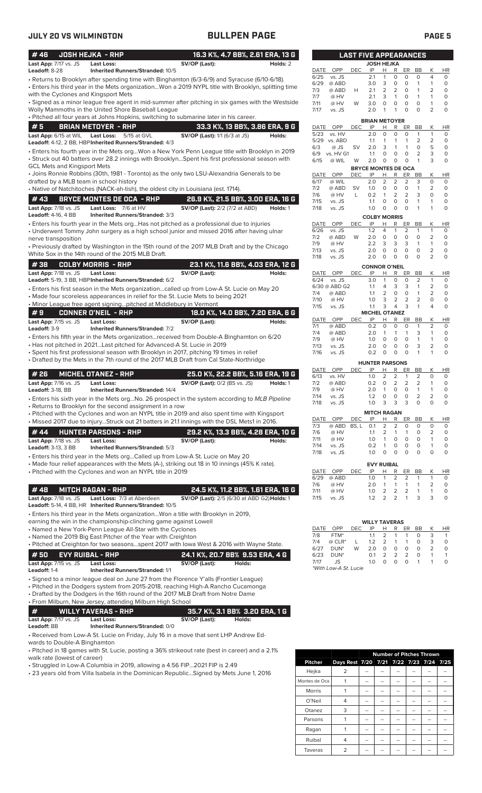| #46                                        | <b>JOSH HEJKA - RHP</b>                                                                                                                               | 16.3 K%, 4.7 BB%, 2.61 ERA, 13 G                                                                                                                                                                     |
|--------------------------------------------|-------------------------------------------------------------------------------------------------------------------------------------------------------|------------------------------------------------------------------------------------------------------------------------------------------------------------------------------------------------------|
| Last App: 7/17 vs. JS<br>Leadoff: 8-28     | <b>Last Loss:</b><br>Inherited Runners/Stranded: 10/5                                                                                                 | SV/OP (Last):<br>Holds: 2                                                                                                                                                                            |
|                                            |                                                                                                                                                       | • Returns to Brooklyn after spending time with Binghamton (6/3-6/9) and Syracuse (6/10-6/18).<br>· Enters his third year in the Mets organizationWon a 2019 NYPL title with Brooklyn, splitting time |
| with the Cyclones and Kingsport Mets       |                                                                                                                                                       |                                                                                                                                                                                                      |
|                                            | Wolly Mammoths in the United Shore Baseball League                                                                                                    | · Signed as a minor league free agent in mid-summer after pitching in six games with the Westside                                                                                                    |
|                                            |                                                                                                                                                       | · Pitched all four years at Johns Hopkins, switching to submarine later in his career.                                                                                                               |
| #5                                         | <b>BRIAN METOYER - RHP</b>                                                                                                                            | 33.3 K%, 13 BB%, 3.86 ERA, 9 G                                                                                                                                                                       |
| Last App: 6/15 at WIL                      | <b>Last Loss:</b><br>5/15 at GVL                                                                                                                      | <b>SV/OP (Last):</b> 1/1 (6/3 at JS)<br>Holds:                                                                                                                                                       |
|                                            | Leadoff: 4-12, 2 BB, HBP Inherited Runners/Stranded: 4/3                                                                                              | Enters his fourth year in the Mets orgWon a New York Penn League title with Brooklyn in 2019                                                                                                         |
|                                            |                                                                                                                                                       | · Struck out 40 batters over 28.2 innings with BrooklynSpent his first professional season with                                                                                                      |
| <b>GCL Mets and Kingsport Mets</b>         |                                                                                                                                                       | • Joins Ronnie Robbins (30th, 1981 - Toronto) as the only two LSU-Alexandria Generals to be                                                                                                          |
| drafted by a MLB team in school history    |                                                                                                                                                       |                                                                                                                                                                                                      |
|                                            | • Native of Natchitoches (NACK-ah-tish), the oldest city in Louisiana (est. 1714).                                                                    |                                                                                                                                                                                                      |
| #43<br>Last App: 7/18 vs. JS               | <b>BRYCE MONTES DE OCA - RHP</b><br>Last Loss: 7/6 at HV                                                                                              | 26.9 K%, 21.5 BB%, 3.00 ERA, 16 G<br><b>SV/OP (Last):</b> 2/2 (7/2 at ABD)<br>Holds: 1                                                                                                               |
| <b>Leadoff: 4-16, 4 BB</b>                 | Inherited Runners/Stranded: 3/3                                                                                                                       |                                                                                                                                                                                                      |
|                                            |                                                                                                                                                       | • Enters his fourth year in the Mets orgHas not pitched as a professional due to injuries                                                                                                            |
| nerve transposition                        |                                                                                                                                                       | • Underwent Tommy John surgery as a high school junior and missed 2016 after having ulnar                                                                                                            |
|                                            |                                                                                                                                                       | . Previously drafted by Washington in the 15th round of the 2017 MLB Draft and by the Chicago                                                                                                        |
|                                            | White Sox in the 14th round of the 2015 MLB Draft.                                                                                                    |                                                                                                                                                                                                      |
| #38                                        | <b>COLBY MORRIS - RHP</b>                                                                                                                             | 23.1 K%, 11.6 BB%, 4.03 ERA, 12 G                                                                                                                                                                    |
| Last App: 7/18 vs. JS                      | Last Loss:<br>Leadoff: 5-19, 3 BB, HBP Inherited Runners/Stranded: 6/2                                                                                | SV/OP (Last):<br>Holds:                                                                                                                                                                              |
|                                            |                                                                                                                                                       | · Enters his first season in the Mets organizationcalled up from Low-A St. Lucie on May 20                                                                                                           |
|                                            | • Made four scoreless appearances in relief for the St. Lucie Mets to being 2021<br>• Minor League free agent signingpitched at Middlebury in Vermont |                                                                                                                                                                                                      |
| #9                                         | <b>CONNER O'NEIL - RHP</b>                                                                                                                            | 18.0 K%, 14.0 BB%, 7.20 ERA, 6 G                                                                                                                                                                     |
| Last App: 7/15 vs. JS                      | <b>Last Loss:</b>                                                                                                                                     | SV/OP (Last):<br>Holds:                                                                                                                                                                              |
| Leadoff: 3-9                               | <b>Inherited Runners/Stranded: 7/2</b>                                                                                                                |                                                                                                                                                                                                      |
|                                            | • Has not pitched in 2021Last pitched for Advanced-A St. Lucie in 2019                                                                                | · Enters his fifth year in the Mets organizationreceived from Double-A Binghamton on 6/20                                                                                                            |
|                                            |                                                                                                                                                       | • Spent his first professional season with Brooklyn in 2017, pitching 19 times in relief                                                                                                             |
|                                            |                                                                                                                                                       | • Drafted by the Mets in the 7th round of the 2017 MLB Draft from Cal State-Northridge                                                                                                               |
| # 26                                       | <b>MICHEL OTANEZ - RHP</b>                                                                                                                            | 25.0 K%, 22.2 BB%, 5.16 ERA, 19 G                                                                                                                                                                    |
| Last App: 7/16 vs. JS<br>Leadoff: 3-18, BB | <b>Last Loss:</b><br><b>Inherited Runners/Stranded: 14/4</b>                                                                                          | <b>SV/OP (Last): 0/2 (BS vs. JS)</b><br>Holds: 1                                                                                                                                                     |
|                                            |                                                                                                                                                       | • Enters his sixth year in the Mets orgNo. 26 prospect in the system according to MLB Pipeline                                                                                                       |
|                                            | • Returns to Brooklyn for the second assignment in a row                                                                                              | · Pitched with the Cyclones and won an NYPL title in 2019 and also spent time with Kingsport                                                                                                         |
|                                            |                                                                                                                                                       | • Missed 2017 due to injuryStruck out 21 batters in 21.1 innings with the DSL Mets1 in 2016.                                                                                                         |
| # 44                                       | <b>HUNTER PARSONS - RHP</b>                                                                                                                           | 29.2 K%, 13.3 BB%, 4.28 ERA, 10 G                                                                                                                                                                    |
| Last App: 7/18 vs. JS                      | <b>Last Loss:</b>                                                                                                                                     | SV/OP (Last):<br>Holds:                                                                                                                                                                              |
| <b>Leadoff: 3-13, 3 BB</b>                 | Inherited Runners/Stranded: 5/3                                                                                                                       |                                                                                                                                                                                                      |
|                                            | · Enters his third year in the Mets orgCalled up from Low-A St. Lucie on May 20                                                                       | • Made four relief appearances with the Mets (A-), striking out 18 in 10 innings (45% K rate).                                                                                                       |
|                                            | · Pitched with the Cyclones and won an NYPL title in 2019                                                                                             |                                                                                                                                                                                                      |
|                                            |                                                                                                                                                       |                                                                                                                                                                                                      |
| #48<br>Last App: 7/18 vs. JS               | <b>MITCH RAGAN - RHP</b><br>Last Loss: 7/3 at Aberdeen                                                                                                | 24.5 K%, 11.2 BB%, 1.61 ERA, 16 G<br>SV/OP (Last): 2/5 (6/30 at ABD G2) Holds: 1                                                                                                                     |
|                                            | Leadoff: 5-14, 4 BB, HR Inherited Runners/Stranded: 10/5                                                                                              |                                                                                                                                                                                                      |
|                                            | • Enters his third year in the Mets organizationWon a title with Brooklyn in 2019,                                                                    |                                                                                                                                                                                                      |
|                                            | earning the win in the championship-clinching game against Lowell<br>• Named a New York-Penn League All-Star with the Cyclones                        |                                                                                                                                                                                                      |
|                                            | • Named the 2019 Big East Pitcher of the Year with Creighton                                                                                          |                                                                                                                                                                                                      |
|                                            |                                                                                                                                                       | . Pitched at Creighton for two seasonsspent 2017 with lowa West & 2016 with Wayne State.                                                                                                             |
| #50<br>Last App: 7/15 vs. JS               | <b>EVY RUIBAL - RHP</b><br>Last Loss:                                                                                                                 | 24.1 K%, 20.7 BB% 9.53 ERA, 4 G<br>SV/OP (Last):<br>Holds:                                                                                                                                           |
| Leadoff: 1-4                               | <b>Inherited Runners/Stranded: 1/1</b>                                                                                                                |                                                                                                                                                                                                      |
|                                            |                                                                                                                                                       | • Signed to a minor league deal on June 27 from the Florence Y'alls (Frontier League)                                                                                                                |
|                                            |                                                                                                                                                       | • Pitched in the Dodgers system from 2015-2018, reaching High-A Rancho Cucamonga<br>• Drafted by the Dodgers in the 16th round of the 2017 MLB Draft from Notre Dame                                 |
|                                            | • From Milburn, New Jersey, attending Milburn High School                                                                                             |                                                                                                                                                                                                      |
| #                                          | <b>WILLY TAVERAS - RHP</b>                                                                                                                            | 35.7 K%, 3.1 BB% 3.20 ERA, 1 G                                                                                                                                                                       |
| Last App: 7/17 vs. JS<br>Leadoff: BB       | Last Loss:<br>Inherited Runners/Stranded: 0/0                                                                                                         | SV/OP (Last):<br>Holds:                                                                                                                                                                              |
|                                            |                                                                                                                                                       | · Received from Low-A St. Lucie on Friday, July 16 in a move that sent LHP Andrew Ed-                                                                                                                |
| wards to Double-A Binghamton               |                                                                                                                                                       |                                                                                                                                                                                                      |
|                                            |                                                                                                                                                       | · Pitched in 18 games with St. Lucie, posting a 36% strikeout rate (best in career) and a 2.1%                                                                                                       |

• Struggled in Low-A Columbia in 2019, allowing a 4.56 FIP...2021 FIP is 2.49

• 23 years old from Villa Isabela in the Dominican Republic...Signed by Mets June 1, 2016

|                |                                         |  | <b>Number of Pitches Thrown</b> |  |  |
|----------------|-----------------------------------------|--|---------------------------------|--|--|
| <b>Pitcher</b> | Days Rest 7/20 7/21 7/22 7/23 7/24 7/25 |  |                                 |  |  |
| Hejka          | 2                                       |  |                                 |  |  |
| Montes de Oca  |                                         |  |                                 |  |  |
| <b>Morris</b>  |                                         |  |                                 |  |  |
| O'Neil         | 4                                       |  |                                 |  |  |
| Otanez         | 3                                       |  |                                 |  |  |
| Parsons        |                                         |  |                                 |  |  |
| Ragan          |                                         |  |                                 |  |  |
| Ruibal         | 4                                       |  |                                 |  |  |
| Taveras        |                                         |  |                                 |  |  |

|                     |                        | <b>AST FIVE APPEARANCES</b> |                            |        |        |                     |                |                     |           |
|---------------------|------------------------|-----------------------------|----------------------------|--------|--------|---------------------|----------------|---------------------|-----------|
|                     |                        |                             | <b>JOSH HEJKA</b>          |        |        |                     |                |                     |           |
| DATE                | OPP                    | DEC                         | IP<br>2.1                  | Н<br>1 | R<br>0 | ER<br>0             | <b>BB</b><br>0 | Κ<br>4              | ΗR        |
| 6/25<br>6/29        | vs. JS<br>@ ABD        |                             | 3.0                        | 3      | 0      | 0                   | 1              | 1                   | 0<br>0    |
| 7/3                 | @ ABD                  | н                           | 2.1                        | 2      | 2      | 0                   | 1              | $\overline{2}$      | 0         |
| 7/7                 | @ HV                   |                             | 2.1                        | 3      | 1      | 0                   | 1              | 1                   | 0         |
| 7/11                | @ HV                   | W                           | 3.0                        | 0      | 0      | 0                   | 0              | 1                   | 0         |
| 7/17                | vs. JS                 |                             | 2.0                        | 1      | 1      | 0                   | 0              | 2                   | 0         |
|                     |                        |                             | <b>BRIAN METOYER</b>       |        |        |                     |                |                     |           |
| <b>DATE</b>         | OPP                    | DEC                         | IP                         | Н      | R      | ER                  | BB             | Κ                   | ΗR        |
| 5/23<br>5/29        | vs. HV<br>vs. ABD      |                             | 2.0<br>1.1                 | 0<br>1 | 0<br>1 | 0<br>1              | 1<br>2         | 1<br>2              | 0<br>0    |
| 6/3                 | @ JS                   | SV                          | 2.0                        | 3      | 1      | 1                   | 0              | 5                   | 0         |
| 6/9                 | vs. HV G1              |                             | 1.1                        | 0      | 0      | 0                   | 2              | 3                   | 0         |
| 6/15                | @ WIL                  | W                           | 2.0                        | 0      | 0      | 0                   | 1              | 3                   | 0         |
|                     |                        |                             | <b>BRYCE MONTES DE OCA</b> |        |        |                     |                |                     |           |
| DATE<br>6/17        | <b>OPP</b><br>@ WIL    | DEC                         | IP<br>2.0                  | Н<br>2 | R<br>2 | ER<br>2             | <b>BB</b><br>3 | Κ<br>0              | HR<br>0   |
| 7/2                 | @ ABD                  | SV                          | 1.0                        | 0      | 0      | 0                   | 1              | $\overline{2}$      | 0         |
| 7/6                 | @ HV                   | L                           | 0.2                        | 1      | 2      | 2                   | 3              | 0                   | 0         |
| 7/15                | vs. JS                 |                             | 1.1                        | 0      | 0      | 0                   | 1              | 1                   | 0         |
| 7/18                | vs. JS                 |                             | 1.0                        | 0      | 0      | 0                   | 1              | 1                   | 0         |
| <b>COLBY MORRIS</b> |                        |                             |                            |        |        |                     |                |                     |           |
| DATE                | OPP                    | <b>DEC</b>                  | IP                         | H      | R      | ER                  | BB             | К                   | ΗR        |
| 6/26<br>7/2         | vs. JS<br>@ ABD        | W                           | 1.2<br>2.0                 | 4<br>0 | 1<br>0 | 2<br>0              | 1<br>0         | 1<br>$\overline{2}$ | 0<br>0    |
| 7/9                 | @ HV                   |                             | 2.2                        | 3      | 3      | 3                   | 1              | 1                   | 0         |
| 7/13                | vs. JS                 |                             | 2.0                        | 0      | 0      | 0                   | 0              | 2                   | 0         |
| 7/18                | vs. JS                 |                             | 2.0                        | 0      | 0      | 0                   | 0              | 2                   | 0         |
|                     |                        |                             | <b>CONNOR O'NEIL</b>       |        |        |                     |                |                     |           |
| DATE                | <b>OPP</b>             | DEC                         | IP                         | Н      | R      | ER                  | BB             | Κ                   | ΗR        |
| 6/24                | vs. JS                 |                             | 3.0                        | 1      | 0      | 0                   | 2              | 1                   | 0         |
| 7/4                 | 6/30 @ ABD G2<br>@ ABD |                             | 1.1<br>1.1                 | 4<br>2 | 3<br>0 | 3<br>0              | 1<br>1         | 2<br>2              | 0<br>0    |
| 7/10                | @ HV                   |                             | 1.0                        | 3      | 2      | 2                   | 2              | 0                   | 0         |
| 7/15                | vs. JS                 |                             | 1.1                        | 3      | 4      | 3                   | 1              | 4                   | 0         |
|                     |                        |                             | <b>MICHEL OTANEZ</b>       |        |        |                     |                |                     |           |
| DATE<br>7/1         | OPP<br>@ ABD           | DEC                         | IP<br>0.2                  | н<br>0 | R<br>0 | ER<br>0             | ВB<br>1        | Κ<br>2              | ΗR<br>0   |
| 7/4                 | @ ABD                  |                             | 2.0                        | 1      | 1      | 1                   | 3              | 1                   | 0         |
| 7/9                 | @ HV                   |                             | 1.0                        | 0      | 0      | 0                   | 1              | 1                   | 0         |
| 7/13                | vs. JS                 |                             | 2.0                        | 0      | 0      | 0                   | 3              | 2                   | 0         |
| 7/16                | vs. JS                 |                             | 0.2                        | 0      | 0      | 0                   | 1              | 1                   | 0         |
|                     |                        |                             | <b>HUNTER PARSONS</b>      |        |        |                     |                |                     |           |
| DATE                | <b>OPP</b>             | <b>DEC</b>                  | IP                         | Н      | R      | ER                  | <b>BB</b>      | Κ                   | <b>HR</b> |
| 6/13<br>7/2         | vs. HV<br>@ ABD        |                             | 1.0<br>0.2                 | 2<br>0 | 2<br>2 | 1<br>$\overline{2}$ | 2<br>2         | 0<br>1              | 0<br>0    |
| 7/9                 | @ HV                   |                             | 2.0                        | 1      | 0      | 0                   | 1              | 1                   | 0         |
| 7/14                | vs. JS                 |                             | 1.2                        | 0      | 0      | 0                   | $\overline{2}$ | 2                   | 0         |
| 7/18                | vs. JS                 |                             | 1.0                        | 3      | 3      | 3                   |                |                     | 0         |
|                     |                        |                             | <b>MITCH RAGAN</b>         |        |        |                     |                |                     |           |
| DATE                | OPP                    | <b>DEC</b>                  | ΙP                         | Н      | R      | ER                  | <b>BB</b>      | Κ                   | ΗR        |
| 7/3                 | @ ABD                  | BS, L                       | 0.1                        | 2      | 2      | 0                   | 0              | 0                   | 0         |
| 7/6<br>7/11         | @ HV<br>@ HV           |                             | 1.1<br>1.0                 | 2<br>1 | 1<br>0 | 1<br>0              | 0<br>0         | 2<br>1              | 0<br>0    |
| 7/14                | vs. JS                 |                             | 0.2                        | 1      | 0      | 0                   | 0              | 1                   | 0         |
| 7/18                | vs. JS                 |                             | 1.0                        | 0      | 0      | 0                   | 0              | 0                   | 0         |
|                     |                        |                             |                            |        |        |                     |                |                     |           |
| DATE                | OPP                    | DEC                         | <b>EVY RUIBAL</b><br>IP    | Н      | R      | ER                  | <b>BB</b>      | Κ                   | HR        |
| 6/29                | @ ABD                  |                             | 1.0                        | 1      | 2      | 2                   | 1              | 1                   | 0         |
| 7/6                 | @ HV                   |                             | 2.0                        | 1      | 1      | 1                   | 1              | 2                   | 0         |
| 7/11                | @ HV                   |                             | 1.0                        | 2      | 2      | $\overline{2}$      | 1              | 1                   | 0         |
| 7/15                | vs. JS                 |                             | 1.2                        | 2      | 2      | 1                   | 3              | 3                   | 0         |

|      |                       |      | <b>WILLY TAVERAS</b> |               |               |               |    |               |    |
|------|-----------------------|------|----------------------|---------------|---------------|---------------|----|---------------|----|
| DATE | OPP                   | DEC. | ΙP                   | н             | R             | ER            | ВB | ĸ             | HR |
| 7/8  | FTM*                  |      | 1.1                  | $\mathcal{L}$ | 1             |               | O  | 3             |    |
| 7/4  | $@$ CLR <sup>*</sup>  |      | 1.2                  | 2             | 1             | 1             | O  | 3             | O  |
| 6/27 | $DUN*$                | W    | 2 O                  | O             | 0             | O             | O  | $\mathcal{P}$ |    |
| 6/23 | $DUN*$                |      | 0.1                  | $\mathcal{P}$ | $\mathcal{P}$ | $\mathcal{P}$ | O  |               |    |
| 7/17 | JS                    |      | 1.0                  | Ω             | O             | O             |    |               |    |
|      | *With Low-A St. Lucie |      |                      |               |               |               |    |               |    |

walk rate (lowest of career)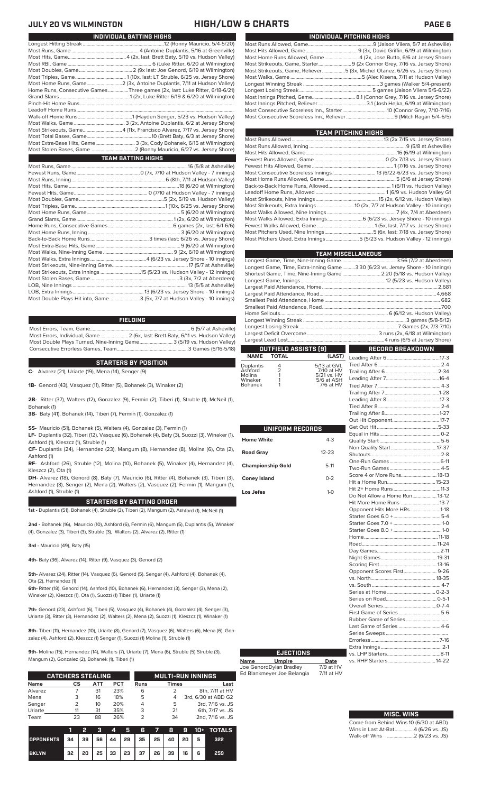### **JULY 20 VS WILMINGTON HIGH/LOW & CHARTS PAGE 6**

| INDIVIDUAL PITCHING HIGHS                                                   |
|-----------------------------------------------------------------------------|
|                                                                             |
|                                                                             |
| Most Home Runs Allowed, Game4 (2x, Jose Butto, 6/6 at Jersey Shore)         |
| Most Strikeouts, Game, Starter 9 (2x Connor Grey, 7/16 vs. Jersey Shore)    |
| Most Strikeouts, Game, Reliever5 (3x, Michel Otanez, 6/26 vs. Jersey Shore) |
|                                                                             |
|                                                                             |
|                                                                             |
|                                                                             |
|                                                                             |
|                                                                             |
|                                                                             |
|                                                                             |

| TEAM PITCHING HIGHS                                                       |  |
|---------------------------------------------------------------------------|--|
|                                                                           |  |
|                                                                           |  |
|                                                                           |  |
|                                                                           |  |
|                                                                           |  |
|                                                                           |  |
|                                                                           |  |
|                                                                           |  |
|                                                                           |  |
|                                                                           |  |
|                                                                           |  |
|                                                                           |  |
| Most Walks Allowed, Extra Innings 6 (6/23 vs. Jersey Shore - 10 innings)  |  |
|                                                                           |  |
|                                                                           |  |
| Most Pitchers Used, Extra Innings 5 (5/23 vs. Hudson Valley - 12 innings) |  |
|                                                                           |  |

| <b>TEAM MISCELLANEOUS</b> |                 |                           |                                                                                |  |  |  |  |  |
|---------------------------|-----------------|---------------------------|--------------------------------------------------------------------------------|--|--|--|--|--|
|                           |                 |                           |                                                                                |  |  |  |  |  |
|                           |                 |                           | Longest Game, Time, Extra-Inning Game3:30 (6/23 vs. Jersey Shore - 10 innings) |  |  |  |  |  |
|                           |                 |                           | Shortest Game, Time, Nine-Inning Game  2:20 (5/18 vs. Hudson Valley)           |  |  |  |  |  |
|                           |                 |                           |                                                                                |  |  |  |  |  |
|                           |                 |                           |                                                                                |  |  |  |  |  |
|                           |                 |                           |                                                                                |  |  |  |  |  |
|                           |                 |                           |                                                                                |  |  |  |  |  |
|                           |                 |                           |                                                                                |  |  |  |  |  |
|                           |                 |                           |                                                                                |  |  |  |  |  |
|                           |                 |                           |                                                                                |  |  |  |  |  |
|                           |                 |                           |                                                                                |  |  |  |  |  |
|                           |                 |                           |                                                                                |  |  |  |  |  |
|                           |                 |                           |                                                                                |  |  |  |  |  |
|                           |                 | OUTFIELD ASSISTS [9]      | <b>RECORD BREAKDOWN</b>                                                        |  |  |  |  |  |
| <b>NAME</b>               | <b>TOTAL</b>    | (LAST)                    |                                                                                |  |  |  |  |  |
| Duplantis                 | $\overline{4}$  | 5/13 at GVL               |                                                                                |  |  |  |  |  |
| Ashford                   | $\overline{2}$  | 7/10 at HV                |                                                                                |  |  |  |  |  |
| Molina<br>Winaker         | 1               | 5/21 vs. HV<br>5/6 at ASH |                                                                                |  |  |  |  |  |
| <b>Bohanek</b>            | 1               | 7/6 at HV                 |                                                                                |  |  |  |  |  |
|                           |                 |                           |                                                                                |  |  |  |  |  |
|                           |                 |                           |                                                                                |  |  |  |  |  |
|                           |                 |                           |                                                                                |  |  |  |  |  |
|                           |                 |                           |                                                                                |  |  |  |  |  |
|                           |                 |                           |                                                                                |  |  |  |  |  |
|                           | UNIFORM RECORDS |                           |                                                                                |  |  |  |  |  |
|                           |                 |                           |                                                                                |  |  |  |  |  |
| <b>Home White</b>         |                 | $4 - 3$                   |                                                                                |  |  |  |  |  |
|                           |                 |                           |                                                                                |  |  |  |  |  |

| 7/6 at HV |                               |  |
|-----------|-------------------------------|--|
|           |                               |  |
|           |                               |  |
|           |                               |  |
|           |                               |  |
|           |                               |  |
| ECORDS    |                               |  |
|           |                               |  |
| $4 - 3$   |                               |  |
|           |                               |  |
| $12 - 23$ |                               |  |
|           |                               |  |
| $5-11$    |                               |  |
| $0 - 2$   |                               |  |
|           |                               |  |
| $1 - 0$   |                               |  |
|           | Do Not Allow a Home Run 13-12 |  |
|           | Hit More Home Runs 13-7       |  |
|           | Opponent Hits More HRs1-18    |  |
|           |                               |  |
|           |                               |  |
|           |                               |  |
|           |                               |  |
|           |                               |  |
|           |                               |  |
|           |                               |  |
|           |                               |  |
|           | Opponent Scores First 9-26    |  |
|           |                               |  |
|           |                               |  |
|           |                               |  |
|           |                               |  |
|           |                               |  |
|           |                               |  |
|           |                               |  |
|           | Last Game of Series  4-6      |  |
|           |                               |  |
|           |                               |  |
|           |                               |  |
| INS       |                               |  |
| Date      |                               |  |

**EJECTIO** 

**Name Umpire Date** Joe GenordDylan Bradley 7/9 at HV Ed Blankmeyer Joe Belangia 7/11 at HV

**Road Gray** 

**Championship Gold Coney Island** Los Jefes

vs. RHP Starters ...

| <b>MISC. WINS</b>                      |
|----------------------------------------|
| Come from Behind Wins 10 (6/30 at ABD) |
| Wins in Last At-Bat4 (6/26 vs. JS)     |
| Walk-off Wins 2 (6/23 vs. JS)          |
|                                        |

| INDIVIDUAL BATTING HIGHS                                                    |
|-----------------------------------------------------------------------------|
|                                                                             |
|                                                                             |
|                                                                             |
|                                                                             |
|                                                                             |
|                                                                             |
|                                                                             |
| Home Runs, Consecutive Games Three games (2x, last: Luke Ritter, 6/18-6/21) |
|                                                                             |
|                                                                             |
|                                                                             |
|                                                                             |
|                                                                             |
| Most Strikeouts, Game4 (11x, Francisco Alvarez, 7/17 vs. Jersey Shore)      |
|                                                                             |
| Most Extra-Base Hits, Game 3 (3x, Cody Bohanek, 6/15 at Wilmington)         |
|                                                                             |
| <b>TEAM BATTING HIGHS</b>                                                   |
|                                                                             |
|                                                                             |
|                                                                             |
|                                                                             |
|                                                                             |
|                                                                             |
|                                                                             |
|                                                                             |
|                                                                             |
|                                                                             |
|                                                                             |
|                                                                             |
|                                                                             |
|                                                                             |
|                                                                             |
|                                                                             |
|                                                                             |
|                                                                             |
|                                                                             |
|                                                                             |
| Most Double Plays Hit into, Game3 (5x, 7/7 at Hudson Valley - 10 innings)   |

### **FIELDING**

Most Errors, Team, Game...............................................................................6 (5/7 at Asheville) Most Errors, Individual, Game......................2 (6x, last: Brett Baty, 6/11 vs. Hudson Valley) Most Double Plays Turned, Nine-Inning Game.......................... 3 (5/19 vs. Hudson Valley) Consecutive Errorless Games, Team.

**STARTERS BY POSITION**

**C-** Alvarez (21), Uriarte (19), Mena (14), Senger (9)

**1B-** Genord (43), Vasquez (11), Ritter (5), Bohanek (3), Winaker (2)

**2B-** Ritter (37), Walters (12), Gonzalez (9), Fermin (2), Tiberi (1), Struble (1), McNeil (1), Bohanek (1)

**3B-** Baty (41), Bohanek (14), Tiberi (7), Fermin (1), Gonzalez (1)

**SS-** Mauricio (51), Bohanek (5), Walters (4), Gonzalez (3), Fermin (1)

**LF-** Duplantis (32), Tiberi (12), Vasquez (6), Bohanek (4), Baty (3), Suozzi (3), Winaker (1), Ashford (1), Kleszcz (1), Struble (1)

**CF-** Duplantis (24), Hernandez (23), Mangum (8), Hernandez (8), Molina (6), Ota (2), Ashford (1)

**RF-** Ashford (26), Struble (12), Molina (10), Bohanek (5), Winaker (4), Hernandez (4), Kleszcz (2), Ota (1)

**DH-** Alvarez (18), Genord (8), Baty (7), Mauricio (6), Ritter (4), Bohanek (3), Tiberi (3), Hernandez (3), Senger (2), Mena (2), Walters (2), Vasquez (2), Fermin (1), Mangum (1), Ashford (1), Struble (1)

### **STARTERS BY BATTING ORDER**

**1st -** Duplantis (51), Bohanek (4), Struble (3), Tiberi (2), Mangum (2), Ashford (1), McNeil (1)

**2nd -** Bohanek (16), Mauricio (10), Ashford (6), Fermin (6), Mangum (5), Duplantis (5), Winaker (4), Gonzalez (3), Tiberi (3), Struble (3), Walters (2), Alvarez (2), Ritter (1)

**3rd -** Mauricio (49), Baty (15)

**4th-** Baty (36), Alvarez (14), Ritter (9), Vasquez (3), Genord (2)

**5th-** Alvarez (24), Ritter (14), Vasquez (6), Genord (5), Senger (4), Ashford (4), Bohanek (4), Ota (2), Hernandez (1)

**6th-** Ritter (18), Genord (14), Ashford (10), Bohanek (6), Hernandez (3), Senger (3), Mena (2), Winaker (2), Kleszcz (1), Ota (1), Suozzi (1) Tiberi (1), Uriarte (1)

**7th-** Genord (23), Ashford (6), Tiberi (5), Vasquez (4), Bohanek (4), Gonzalez (4), Senger (3), Uriarte (3), Ritter (3), Hernandez (2), Walters (2), Mena (2), Suozzi (1), Kleszcz (1), Winaker (1)

**8th-** Tiberi (11), Hernandez (10), Uriarte (8), Genord (7), Vasquez (6), Walters (6), Mena (6), Gonzalez (4), Ashford (2), Kleszcz (1) Senger (1), Suozzi (1) Molina (1), Struble (1)

**9th-** Molina (15), Hernandez (14), Walters (7), Uriarte (7), Mena (6), Struble (5) Struble (3), Mangum (2), Gonzalez (2), Bohanek (1), Tiberi (1)

|             | <b>CATCHERS STEALING</b> |     |     |             |              | <b>MULTI-RUN INNINGS</b> |
|-------------|--------------------------|-----|-----|-------------|--------------|--------------------------|
| <b>Name</b> | СS                       | АТТ | PCT | <b>Runs</b> | <b>Times</b> | Last                     |
| Alvarez     |                          | 31  | 23% | 6           |              | 8th, 7/11 at HV          |
| Mena        | 3                        | 16  | 18% | 5           | 4            | 3rd, 6/30 at ABD G2      |
| Senger      |                          | 10  | 20% |             | 5            | 3rd, 7/16 vs. JS         |
| Uriarte     |                          | 31  | 35% | 3           | 21           | 6th, 7/17 vs. JS         |
| Team        | 23                       | 88  | 26% |             | 34           | 2nd, 7/16 vs. JS         |

|                  |    |    | a    | $\boldsymbol{A}$ |    | 5 G                              | 57 B |    |    |   | 9 10+ TOTALS |
|------------------|----|----|------|------------------|----|----------------------------------|------|----|----|---|--------------|
| <b>OPPONENTS</b> | 34 | 39 |      |                  |    | 56   44   29   35   25   40   20 |      |    |    | 5 | 322          |
| <b>BKLYN</b>     | 32 | 20 | 25 I | 33               | 23 | 37                               | 26   | 39 | 16 | 6 | 259          |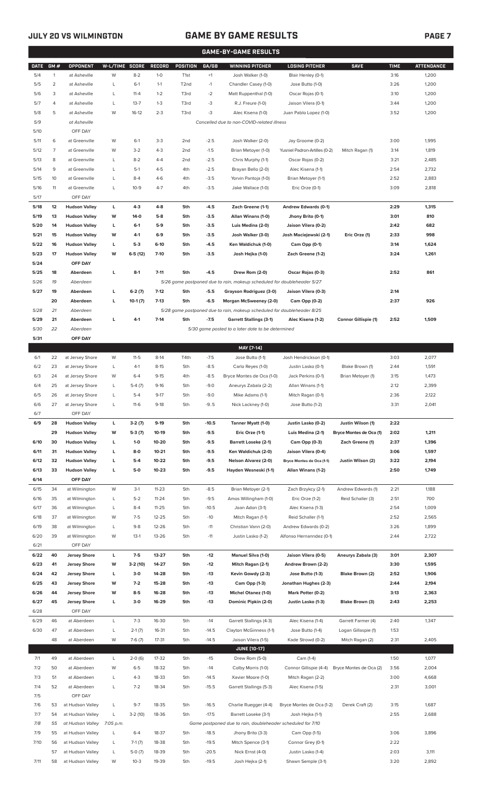## **JULY 20 VS WILMINGTON GAME BY GAME RESULTS**

|              | <b>GAME-BY-GAME RESULTS</b> |                                      |                |                      |                    |                        |                  |                                                                                     |                                        |                                              |              |                   |
|--------------|-----------------------------|--------------------------------------|----------------|----------------------|--------------------|------------------------|------------------|-------------------------------------------------------------------------------------|----------------------------------------|----------------------------------------------|--------------|-------------------|
| <b>DATE</b>  | GM#                         | OPPONENT                             | W-L/TIME       | <b>SCORE</b>         | RECORD             | POSITION               | GA/GB            | <b>WINNING PITCHER</b>                                                              | <b>LOSING PITCHER</b>                  | <b>SAVE</b>                                  | <b>TIME</b>  | <b>ATTENDANCE</b> |
| 5/4          | $\mathbf{1}$                | at Asheville                         | W              | $8 - 2$              | $1 - 0$            | T <sub>1st</sub>       | $+1$             | Josh Walker (1-0)                                                                   | Blair Henley (0-1)                     |                                              | 3:16         | 1,200             |
| 5/5          | 2                           | at Asheville                         | L              | $6-1$                | $1 - 1$            | T2nd                   | $-1$             | Chandler Casey (1-0)                                                                | Jose Butto (1-0)                       |                                              | 3:26         | 1,200             |
| 5/6          | 3                           | at Asheville                         | L              | $11 - 4$             | $1 - 2$            | T3rd                   | $-2$             | Matt Ruppenthal (1-0)                                                               | Oscar Rojas (0-1)                      |                                              | 3:10         | 1,200             |
| 5/7          | 4                           | at Asheville                         | L              | $13 - 7$             | $1 - 3$            | T3rd                   | $-3$             | R.J. Freure (1-0)                                                                   | Jaison Vilera (0-1)                    |                                              | 3:44         | 1,200             |
| 5/8          | 5                           | at Asheville                         | W              | $16-12$              | $2 - 3$            | T3rd                   | $-3$             | Alec Kisena (1-0)                                                                   | Juan Pablo Lopez (1-0)                 |                                              | 3:52         | 1,200             |
| 5/9          |                             | at Asheville                         |                |                      |                    |                        |                  | Cancelled due to non-COVID-related illness                                          |                                        |                                              |              |                   |
| 5/10         |                             | OFF DAY                              |                |                      |                    |                        |                  |                                                                                     |                                        |                                              |              |                   |
| 5/11         | 6                           | at Greenville                        | W              | $6-1$                | $3-3$              | 2nd                    | $-2.5$           | Josh Walker (2-0)                                                                   | Jay Groome (0-2)                       |                                              | 3:00         | 1,995             |
| 5/12         | 7                           | at Greenville<br>at Greenville       | W<br>L         | $3 - 2$<br>$8 - 2$   | $4 - 3$<br>$4 - 4$ | 2 <sub>nd</sub><br>2nd | $-1.5$           | Brian Metoyer (1-0)                                                                 | Yusniel Padron-Artilles (0-2)          | Mitch Ragan (1)                              | 3:14<br>3:21 | 1,819             |
| 5/13<br>5/14 | 8<br>9                      | at Greenville                        | L              | $5-1$                | $4 - 5$            | 4th                    | $-2.5$<br>$-2.5$ | Chris Murphy (1-1)<br>Brayan Bello (2-0)                                            | Oscar Rojas (0-2)<br>Alec Kisena (1-1) |                                              | 2:54         | 2,485<br>2,732    |
| 5/15         | 10                          | at Greenville                        | L              | $8 - 4$              | $4-6$              | 4th                    | $-3.5$           | Yorvin Pantoja (1-0)                                                                | Brian Metoyer (1-1)                    |                                              | 2:52         | 2,883             |
| 5/16         | 11                          | at Greenville                        | L              | $10-9$               | $4 - 7$            | 4th                    | $-3.5$           | Jake Wallace (1-0)                                                                  | Eric Orze (0-1)                        |                                              | 3:09         | 2,818             |
| 5/17         |                             | OFF DAY                              |                |                      |                    |                        |                  |                                                                                     |                                        |                                              |              |                   |
| 5/18         | 12                          | <b>Hudson Valley</b>                 | L              | $4 - 3$              | $4 - 8$            | 5th                    | $-4.5$           | Zach Greene (1-1)                                                                   | Andrew Edwards (0-1)                   |                                              | 2:29         | 1,315             |
| 5/19         | 13                          | <b>Hudson Valley</b>                 | W              | $14-0$               | $5-8$              | 5th                    | $-3.5$           | Allan Winans (1-0)                                                                  | Jhony Brito (0-1)                      |                                              | 3:01         | 810               |
| 5/20         | 14                          | <b>Hudson Valley</b>                 | L              | $6-1$                | $5-9$              | 5th                    | $-3.5$           | Luis Medina (2-0)                                                                   | Jaison Vilera (0-2)                    |                                              | 2:42         | 682               |
| 5/21         | 15                          | <b>Hudson Valley</b>                 | w              | 4-1                  | $6-9$              | 5th                    | $-3.5$           | Josh Walker (3-0)                                                                   | Josh Maciejewski (2-1)                 | Eric Orze (1)                                | 2:33         | 998               |
| 5/22         | 16                          | <b>Hudson Valley</b>                 | L              | $5-3$                | $6-10$             | 5th                    | $-4.5$           | Ken Waldichuk (1-0)                                                                 | Cam Opp (0-1)                          |                                              | 3:14         | 1,624             |
| 5/23         | 17                          | <b>Hudson Valley</b>                 | W              | $6-5(12)$            | 7-10               | 5th                    | $-3.5$           | Josh Hejka (1-0)                                                                    | Zach Greene (1-2)                      |                                              | 3:24         | 1,261             |
| 5/24         |                             | OFF DAY                              |                |                      |                    |                        |                  |                                                                                     |                                        |                                              |              |                   |
| 5/25         | 18                          | Aberdeen                             | L              | $8-1$                | $7 - 11$           | 5th                    | $-4.5$           | Drew Rom (2-0)                                                                      | Oscar Rojas (0-3)                      |                                              | 2:52         | 861               |
| 5/26         | 19                          | Aberdeen                             |                |                      |                    |                        |                  | 5/26 game postponed due to rain, makeup scheduled for doubleheader 5/27             |                                        |                                              |              |                   |
| 5/27         | 19                          | Aberdeen                             | L              | $6-2(7)$             | $7-12$             | 5th                    | $-5.5$           | Grayson Rodriguez (3-0)                                                             | Jaison Vilera (0-3)                    |                                              | 2:14         |                   |
|              | 20                          | Aberdeen                             | г              | $10-1(7)$            | $7-13$             | 5th                    | $-6.5$           | Morgan McSweeney (2-0)                                                              | Cam Opp (0-2)                          |                                              | 2:37         | 926               |
| 5/28         | 21                          | Aberdeen                             |                |                      |                    |                        |                  | 5/28 game postponed due to rain, makeup scheduled for doubleheader 8/25             |                                        |                                              |              |                   |
| 5/29         | 21                          | Aberdeen                             | L              | $4-1$                | $7-14$             | 5th                    | $-7.5$           | <b>Garrett Stallings (3-1)</b>                                                      | Alec Kisena (1-2)                      | Connor Gillispie (1)                         | 2:52         | 1,509             |
| 5/30         | 22                          | Aberdeen                             |                |                      |                    |                        |                  | 5/30 game posted to a later date to be determined                                   |                                        |                                              |              |                   |
| 5/31         |                             | OFF DAY                              |                |                      |                    |                        |                  |                                                                                     |                                        |                                              |              |                   |
|              |                             |                                      |                |                      |                    |                        |                  | MAY [7-14]                                                                          |                                        |                                              |              |                   |
| 6/1          | 22                          | at Jersey Shore                      | W              | $11 - 5$             | $8-14$             | T4th                   | $-7.5$           | Jose Butto (1-1)                                                                    | Josh Hendrickson (0-1)                 |                                              | 3:03         | 2,077             |
| 6/2          | 23                          | at Jersey Shore                      | L              | $4-1$                | $8 - 15$           | 5th                    | $-8.5$           | Carlo Reyes (1-0)                                                                   | Justin Lasko (0-1)                     | Blake Brown (1)                              | 2:44         | 1,591             |
| 6/3          | 24                          | at Jersey Shore                      | W              | $6 - 4$              | $9 - 15$           | 4th                    | $-8.5$           | Bryce Montes de Oca (1-0)                                                           | Jack Perkins (0-1)                     | Brian Metoyer (1)                            | 3:15         | 1,473             |
| 6/4          | 25                          | at Jersey Shore                      | L              | $5-4(7)$             | $9-16$             | 5th                    | $-9.0$           | Aneurys Zabala (2-2)                                                                | Allan Winans (1-1)                     |                                              | 2:12         | 2,399             |
| 6/5          | 26                          | at Jersey Shore                      | L              | $5 - 4$              | $9-17$             | 5th                    | $-9.0$           | Mike Adams (1-1)                                                                    | Mitch Ragan (0-1)                      |                                              | 2:36         | 2,122             |
| 6/6          | 27                          | at Jersey Shore                      |                | $11-6$               | $9-18$             | 5th                    | $-9.5$           | Nick Lackney (1-0)                                                                  | Jose Butto (1-2)                       |                                              | 3:31         | 2,041             |
| 6/7<br>6/9   | 28                          | OFF DAY<br><b>Hudson Valley</b>      | L              |                      | $9-19$             |                        | $-10.5$          |                                                                                     | Justin Lasko (0-2)                     |                                              | 2:22         |                   |
|              | 29                          | <b>Hudson Valley</b>                 | W              | $3-2(7)$<br>$5-3(7)$ | 10-19              | 5th<br>5th             | $-9.5$           | Tanner Myatt (1-0)<br>Eric Orze (1-1)                                               | Luis Medina (2-1)                      | Justin Wilson (1)<br>Bryce Montes de Oca (1) | 2:02         | 1,211             |
| 6/10         | 30                          | <b>Hudson Valley</b>                 | L              | $1 - 0$              | 10-20              | 5th                    | $-9.5$           | Barrett Loseke (2-1)                                                                | Cam Opp (0-3)                          | Zach Greene (1)                              | 2:37         | 1,396             |
| 6/11         | 31                          | <b>Hudson Valley</b>                 | L              | $8-0$                | $10 - 21$          | 5th                    | $-9.5$           | Ken Waldichuk (2-0)                                                                 | Jaison Vilera (0-4)                    |                                              | 3:06         | 1,597             |
| 6/12         | 32                          | <b>Hudson Valley</b>                 | L              | $5-4$                | 10-22              | 5th                    | $-9.5$           | Nelson Alvarez (2-0)                                                                | Bryce Montes de Oca (1-1)              | Justin Wilson (2)                            | 3:22         | 2,194             |
| 6/13         | 33                          | <b>Hudson Valley</b>                 | L              | $5-0$                | $10 - 23$          | 5th                    | $-9.5$           | Hayden Wesneski (1-1)                                                               | Allan Winans (1-2)                     |                                              | 2:50         | 1,749             |
| 6/14         |                             | OFF DAY                              |                |                      |                    |                        |                  |                                                                                     |                                        |                                              |              |                   |
| 6/15         | 34                          | at Wilmington                        | W              | $3-1$                | $11 - 23$          | 5th                    | $-8.5$           | Brian Metoyer (2-1)                                                                 | Zach Brzykcy (2-1)                     | Andrew Edwards (1)                           | 2:21         | 1,188             |
| 6/16         | 35                          | at Wilmington                        | L              | $5 - 2$              | $11 - 24$          | 5th                    | $-9.5$           | Amos Willingham (1-0)                                                               | Eric Orze (1-2)                        | Reid Schaller (3)                            | 2:51         | 700               |
| 6/17         | 36                          | at Wilmington                        | L              | $8 - 4$              | $11 - 25$          | 5th                    | $-10.5$          | Joan Adon (3-1)                                                                     | Alec Kisena (1-3)                      |                                              | 2:54         | 1,009             |
| 6/18         | 37                          | at Wilmington                        | W              | $7-5$                | 12-25              | 5th                    | $-10$            | Mitch Ragan (1-1)                                                                   | Reid Schaller (1-1)                    |                                              | 2:52         | 2,565             |
| 6/19         | 38                          | at Wilmington                        | L              | $9 - 8$              | 12-26              | 5th                    | $-11$            | Christian Vann (2-0)                                                                | Andrew Edwards (0-2)                   |                                              | 3:26         | 1,899             |
| 6/20         | 39                          | at Wilmington                        | W              | $13-1$               | 13-26              | 5th                    | $-11$            | Justin Lasko (1-2)                                                                  | Alfonso Hernanndez (0-1)               |                                              | 2:44         | 2,722             |
| 6/21         |                             | OFF DAY                              |                |                      |                    |                        |                  |                                                                                     |                                        |                                              |              |                   |
| 6/22         | 40                          | <b>Jersey Shore</b>                  | L              | $7-5$                | 13-27              | 5th                    | $-12$            | <b>Manuel Silva (1-0)</b>                                                           | Jaison Vilera (0-5)                    | Aneurys Zabala (3)                           | 3:01         | 2,307             |
| 6/23         | 41                          | <b>Jersey Shore</b>                  | W              | 3-2 (10)             | 14-27              | 5th                    | $-12$            | Mitch Ragan (2-1)                                                                   | Andrew Brown (2-2)                     |                                              | 3:30         | 1,595             |
| 6/24         | 42                          | <b>Jersey Shore</b>                  | L              | $3-0$                | 14-28              | 5th                    | $-13$            | Kevin Gowdy (2-3)                                                                   | Jose Butto (1-3)                       | Blake Brown (2)                              | 2:52         | 1,906             |
| 6/25         | 43                          | <b>Jersey Shore</b>                  | W              | $7-2$                | 15-28              | 5th                    | $-13$            | Cam Opp (1-3)                                                                       | Jonathan Hughes (2-3)                  |                                              | 2:44         | 2,194             |
| 6/26         | 44                          | <b>Jersey Shore</b>                  | W              | $8 - 5$              | 16-28              | 5th                    | $-13$            | <b>Michel Otanez (1-0)</b>                                                          | Mark Potter (0-2)                      |                                              | 3:13         | 2,363             |
| 6/27         | 45                          | <b>Jersey Shore</b>                  | L              | $3-0$                | 16-29              | 5th                    | $-13$            | Dominic Pipkin (2-0)                                                                | Justin Lasko (1-3)                     | Blake Brown (3)                              | 2:43         | 2,253             |
| 6/28         |                             | OFF DAY                              |                |                      |                    |                        |                  |                                                                                     |                                        |                                              |              |                   |
| 6/29         | 46                          | at Aberdeen                          | L              | $7-3$                | 16-30              | 5th                    | $-14$            | Garrett Stallings (4-3)                                                             | Alec Kisena (1-4)                      | Garrett Farmer (4)                           | 2:40         | 1,347             |
| 6/30         | 47                          | at Aberdeen                          | L              | $2-1(7)$             | 16-31              | 5th                    | $-14.5$          | Clayton McGinness (1-1)                                                             | Jose Butto (1-4)                       | Logan Gillaspie (1)                          | 1:53         |                   |
|              | 48                          | at Aberdeen                          | W              | $7-6(7)$             | 17-31              | 5th                    | $-14.5$          | Jaison Vilera (1-5)                                                                 | Kade Strowd (0-2)                      | Mitch Ragan (2)                              | 2:31         | 2,405             |
|              |                             |                                      |                |                      |                    |                        |                  | <b>JUNE (10-17)</b>                                                                 |                                        |                                              |              |                   |
| 7/1          | 49                          | at Aberdeen                          | L              | $2-0(6)$             | 17-32              | 5th                    | $-15$            | Drew Rom (5-0)                                                                      | Cam (1-4)                              |                                              | 1:50         | 1,077             |
| 7/2          | 50                          | at Aberdeen                          | W              | $6 - 5$              | 18-32              | 5th                    | $-14$            | Colby Morris (1-0)                                                                  | Connor Gillispie (4-4)                 | Bryce Montes de Oca (2)                      | 3:56         | 2,004             |
| 7/3          | 51                          | at Aberdeen                          | L              | $4 - 3$              | 18-33              | 5th                    | $-14.5$          | Xavier Moore (1-0)                                                                  | Mitch Ragan (2-2)                      |                                              | 3:00         | 4,668             |
| 7/4          | 52                          | at Aberdeen                          | L              | $7 - 2$              | 18-34              | 5th                    | $-15.5$          | Garrett Stallings (5-3)                                                             | Alec Kisena (1-5)                      |                                              | 2:31         | 3,001             |
| 7/5          |                             | OFF DAY                              |                |                      |                    |                        |                  |                                                                                     |                                        |                                              |              |                   |
| 7/6          | 53                          | at Hudson Valley                     | L              | $9 - 7$              | 18-35              | 5th                    | $-16.5$          | Charlie Ruegger (4-4)                                                               | Bryce Montes de Oca (1-2)              | Derek Craft (2)                              | 3:15         | 1,687             |
| 7/7<br>7/8   | 54<br>55                    | at Hudson Valley<br>at Hudson Valley | L<br>7:05 p.m. | $3-2(10)$            | 18-36              | 5th                    | $-17.5$          | Barrett Loseke (3-1)<br>Game postponed due to rain, doubleheader scheduled for 7/10 | Josh Hejka (1-1)                       |                                              | 2:55         | 2,688             |
| 7/9          | 55                          | at Hudson Valley                     | L              | $6 - 4$              | 18-37              | 5th                    | $-18.5$          | Jhony Brito (3-3)                                                                   | Cam Opp (1-5)                          |                                              | 3:06         | 3,896             |
| 7/10         | 56                          | at Hudson Valley                     | L              | $7-1(7)$             | 18-38              | 5th                    | $-19.5$          | Mitch Spence (3-1)                                                                  | Connor Grey (0-1)                      |                                              | 2:22         |                   |
|              | 57                          | at Hudson Valley                     | L              | $5-0(7)$             | 18-39              | 5th                    | $-20.5$          | Nick Ernst (4-0)                                                                    | Justin Lasko (1-4)                     |                                              | 2:03         | 3,111             |
| 7/11         | 58                          | at Hudson Valley                     | W              | $10-3$               | 19-39              | 5th                    | $-19.5$          | Josh Hejka (2-1)                                                                    | Shawn Semple (3-1)                     |                                              | 3:20         | 2,892             |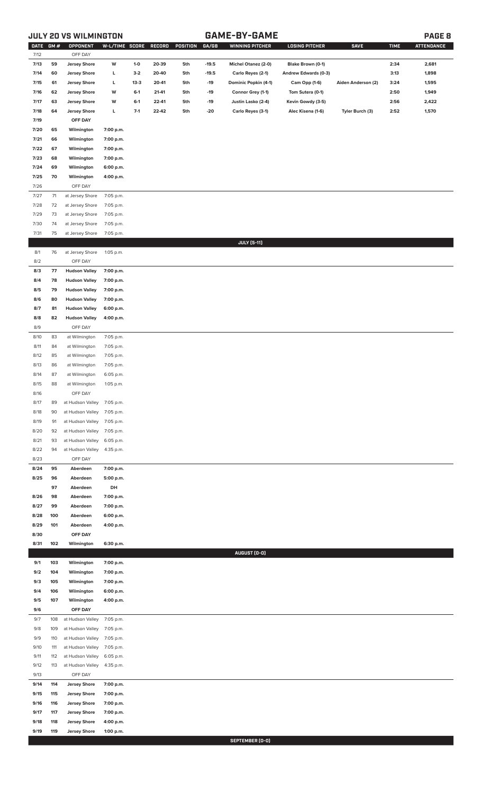# **JULY 20 VS WILMINGTON GAME-BY-GAME PAGE 8**

| <b>DATE</b>  | GM#        | <b>OPPONENT</b>            | W-L/TIME SCORE |         | RECORD | POSITION | GA/GB   | <b>WINNING PITCHER</b> | <b>LOSING PITCHER</b> | <b>SAVE</b>        | <b>TIME</b> | <b>ATTENDANCE</b> |
|--------------|------------|----------------------------|----------------|---------|--------|----------|---------|------------------------|-----------------------|--------------------|-------------|-------------------|
| 7/12         |            | OFF DAY                    |                |         |        |          |         |                        |                       |                    |             |                   |
| 7/13         | 59         | <b>Jersey Shore</b>        | W              | $1-0$   | 20-39  | 5th      | $-19.5$ | Michel Otanez (2-0)    | Blake Brown (0-1)     |                    | 2:34        | 2,681             |
| 7/14         | 60         | <b>Jersey Shore</b>        | L              | $3-2$   | 20-40  | 5th      | $-19.5$ | Carlo Reyes (2-1)      | Andrew Edwards (0-3)  |                    | 3:13        | 1,898             |
| 7/15         | 61         | <b>Jersey Shore</b>        | L              | $13-3$  | 20-41  | 5th      | $-19$   | Dominic Popkin (4-1)   | Cam Opp (1-6)         | Aiden Anderson (2) | 3:24        | 1,595             |
| 7/16         | 62         | <b>Jersey Shore</b>        | W              | $6 - 1$ | 21-41  | 5th      | $-19$   | Connor Grey (1-1)      | Tom Sutera (0-1)      |                    | 2:50        | 1,949             |
| 7/17         | 63         | <b>Jersey Shore</b>        | W              | $6-1$   | 22-41  | 5th      | $-19$   | Justin Lasko (2-4)     | Kevin Gowdy (3-5)     |                    | 2:56        | 2,422             |
| 7/18         | 64         | <b>Jersey Shore</b>        | L              | $7-1$   | 22-42  | 5th      | -20     | Carlo Reyes (3-1)      | Alec Kisena (1-6)     | Tyler Burch (3)    | 2:52        | 1,570             |
| 7/19         |            | OFF DAY                    |                |         |        |          |         |                        |                       |                    |             |                   |
| 7/20         | 65         | Wilmington                 | 7:00 p.m.      |         |        |          |         |                        |                       |                    |             |                   |
| 7/21         | 66         |                            | 7:00 p.m.      |         |        |          |         |                        |                       |                    |             |                   |
|              |            | Wilmington                 |                |         |        |          |         |                        |                       |                    |             |                   |
| 7/22         | 67         | Wilmington                 | 7:00 p.m.      |         |        |          |         |                        |                       |                    |             |                   |
| 7/23         | 68         | Wilmington                 | 7:00 p.m.      |         |        |          |         |                        |                       |                    |             |                   |
| 7/24         | 69         | Wilmington                 | 6:00 p.m.      |         |        |          |         |                        |                       |                    |             |                   |
| 7/25         | 70         | Wilmington                 | 4:00 p.m.      |         |        |          |         |                        |                       |                    |             |                   |
| 7/26         |            | OFF DAY                    |                |         |        |          |         |                        |                       |                    |             |                   |
| 7/27         | 71         | at Jersey Shore            | 7:05 p.m.      |         |        |          |         |                        |                       |                    |             |                   |
| 7/28         | 72         | at Jersey Shore            | 7:05 p.m.      |         |        |          |         |                        |                       |                    |             |                   |
| 7/29         | 73         | at Jersey Shore            | 7:05 p.m.      |         |        |          |         |                        |                       |                    |             |                   |
| 7/30         | 74         | at Jersey Shore            | 7:05 p.m.      |         |        |          |         |                        |                       |                    |             |                   |
| 7/31         | 75         | at Jersey Shore            | 7:05 p.m.      |         |        |          |         |                        |                       |                    |             |                   |
|              |            |                            |                |         |        |          |         | <b>JULY</b> [5-11]     |                       |                    |             |                   |
| 8/1          | 76         | at Jersey Shore            | 1:05 p.m.      |         |        |          |         |                        |                       |                    |             |                   |
| 8/2          |            | OFF DAY                    |                |         |        |          |         |                        |                       |                    |             |                   |
| 8/3          | 77         | <b>Hudson Valley</b>       | 7:00 p.m.      |         |        |          |         |                        |                       |                    |             |                   |
| 8/4          | 78         | <b>Hudson Valley</b>       | 7:00 p.m.      |         |        |          |         |                        |                       |                    |             |                   |
| 8/5          | 79         | <b>Hudson Valley</b>       | 7:00 p.m.      |         |        |          |         |                        |                       |                    |             |                   |
| 8/6          | 80         | <b>Hudson Valley</b>       | 7:00 p.m.      |         |        |          |         |                        |                       |                    |             |                   |
| 8/7          | 81         | <b>Hudson Valley</b>       | 6:00 p.m.      |         |        |          |         |                        |                       |                    |             |                   |
| 8/8          | 82         | <b>Hudson Valley</b>       | 4:00 p.m.      |         |        |          |         |                        |                       |                    |             |                   |
| 8/9          |            | OFF DAY                    |                |         |        |          |         |                        |                       |                    |             |                   |
| 8/10         | 83         | at Wilmington              | 7:05 p.m.      |         |        |          |         |                        |                       |                    |             |                   |
| 8/11         | 84         | at Wilmington              | 7:05 p.m.      |         |        |          |         |                        |                       |                    |             |                   |
| 8/12         | 85         | at Wilmington              | 7:05 p.m.      |         |        |          |         |                        |                       |                    |             |                   |
| 8/13         | 86         | at Wilmington              | 7:05 p.m.      |         |        |          |         |                        |                       |                    |             |                   |
| 8/14         | 87         | at Wilmington              | 6:05 p.m.      |         |        |          |         |                        |                       |                    |             |                   |
| 8/15         | 88         | at Wilmington              | 1:05 p.m.      |         |        |          |         |                        |                       |                    |             |                   |
| 8/16         |            | OFF DAY                    |                |         |        |          |         |                        |                       |                    |             |                   |
| 8/17         | 89         | at Hudson Valley 7:05 p.m. |                |         |        |          |         |                        |                       |                    |             |                   |
| 8/18         | 90         | at Hudson Valley 7:05 p.m. |                |         |        |          |         |                        |                       |                    |             |                   |
| 8/19         | 91         | at Hudson Valley           | 7:05 p.m.      |         |        |          |         |                        |                       |                    |             |                   |
| 8/20         | 92         | at Hudson Valley           | 7:05 p.m.      |         |        |          |         |                        |                       |                    |             |                   |
| 8/21         | 93         | at Hudson Valley           | 6:05 p.m.      |         |        |          |         |                        |                       |                    |             |                   |
| 8/22         | 94         | at Hudson Valley           | 4:35 p.m.      |         |        |          |         |                        |                       |                    |             |                   |
| 8/23         |            | OFF DAY                    |                |         |        |          |         |                        |                       |                    |             |                   |
| 8/24         | 95         | Aberdeen                   | 7:00 p.m.      |         |        |          |         |                        |                       |                    |             |                   |
| 8/25         | 96         | Aberdeen                   | 5:00 p.m.      |         |        |          |         |                        |                       |                    |             |                   |
|              | 97         | Aberdeen                   | DH             |         |        |          |         |                        |                       |                    |             |                   |
| 8/26         | 98         | Aberdeen                   | 7:00 p.m.      |         |        |          |         |                        |                       |                    |             |                   |
| 8/27         | 99         | Aberdeen                   | 7:00 p.m.      |         |        |          |         |                        |                       |                    |             |                   |
| 8/28         | 100        | Aberdeen                   | 6:00 p.m.      |         |        |          |         |                        |                       |                    |             |                   |
| 8/29         | 101        | Aberdeen                   | 4:00 p.m.      |         |        |          |         |                        |                       |                    |             |                   |
| 8/30         |            | OFF DAY                    |                |         |        |          |         |                        |                       |                    |             |                   |
| 8/31         | 102        | Wilmington                 | 6:30 p.m.      |         |        |          |         |                        |                       |                    |             |                   |
|              |            |                            |                |         |        |          |         | AUGUST (0-0)           |                       |                    |             |                   |
| 9/1          | 103        | Wilmington                 | 7:00 p.m.      |         |        |          |         |                        |                       |                    |             |                   |
| 9/2          | 104        | Wilmington                 | 7:00 p.m.      |         |        |          |         |                        |                       |                    |             |                   |
| 9/3          | 105        | Wilmington                 | 7:00 p.m.      |         |        |          |         |                        |                       |                    |             |                   |
| 9/4          | 106        | Wilmington                 | 6:00 p.m.      |         |        |          |         |                        |                       |                    |             |                   |
| 9/5          | 107        | Wilmington                 | 4:00 p.m.      |         |        |          |         |                        |                       |                    |             |                   |
| 9/6          |            | OFF DAY                    |                |         |        |          |         |                        |                       |                    |             |                   |
| 9/7          | 108        | at Hudson Valley           | 7:05 p.m.      |         |        |          |         |                        |                       |                    |             |                   |
| 9/8          | 109        | at Hudson Valley           | 7:05 p.m.      |         |        |          |         |                        |                       |                    |             |                   |
| 9/9          | 110        | at Hudson Valley           | 7:05 p.m.      |         |        |          |         |                        |                       |                    |             |                   |
| 9/10         | 111        | at Hudson Valley           | 7:05 p.m.      |         |        |          |         |                        |                       |                    |             |                   |
| 9/11         | 112        | at Hudson Valley           | 6:05 p.m.      |         |        |          |         |                        |                       |                    |             |                   |
| 9/12         | 113        | at Hudson Valley           | 4:35 p.m.      |         |        |          |         |                        |                       |                    |             |                   |
| 9/13         |            | OFF DAY                    |                |         |        |          |         |                        |                       |                    |             |                   |
|              | 114        |                            |                |         |        |          |         |                        |                       |                    |             |                   |
| 9/14         |            | <b>Jersey Shore</b>        | 7:00 p.m.      |         |        |          |         |                        |                       |                    |             |                   |
| 9/15         | 115        | <b>Jersey Shore</b>        | 7:00 p.m.      |         |        |          |         |                        |                       |                    |             |                   |
| 9/16         | 116        | <b>Jersey Shore</b>        | 7:00 p.m.      |         |        |          |         |                        |                       |                    |             |                   |
| 9/17         | 117        | <b>Jersey Shore</b>        | 7:00 p.m.      |         |        |          |         |                        |                       |                    |             |                   |
| 9/18<br>9/19 | 118<br>119 | <b>Jersey Shore</b>        | 4:00 p.m.      |         |        |          |         |                        |                       |                    |             |                   |
|              |            | <b>Jersey Shore</b>        | 1:00 p.m.      |         |        |          |         | SEPTEMBER (0-0)        |                       |                    |             |                   |